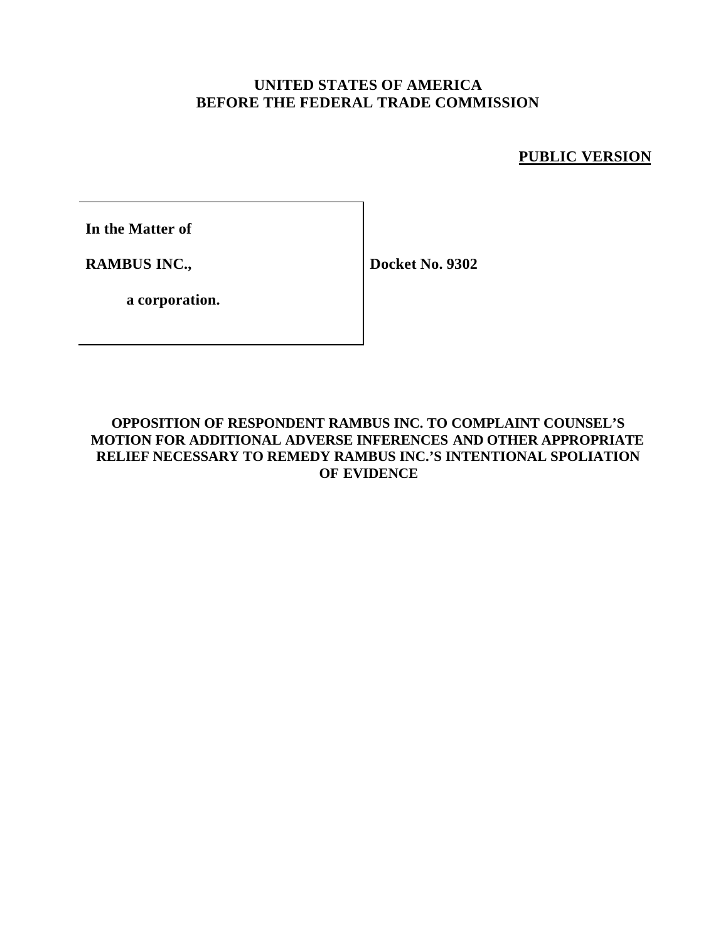# **UNITED STATES OF AMERICA BEFORE THE FEDERAL TRADE COMMISSION**

# **PUBLIC VERSION**

**In the Matter of**

**RAMBUS INC.,**

**Docket No. 9302**

**a corporation.**

## **OPPOSITION OF RESPONDENT RAMBUS INC. TO COMPLAINT COUNSEL'S MOTION FOR ADDITIONAL ADVERSE INFERENCES AND OTHER APPROPRIATE RELIEF NECESSARY TO REMEDY RAMBUS INC.'S INTENTIONAL SPOLIATION OF EVIDENCE**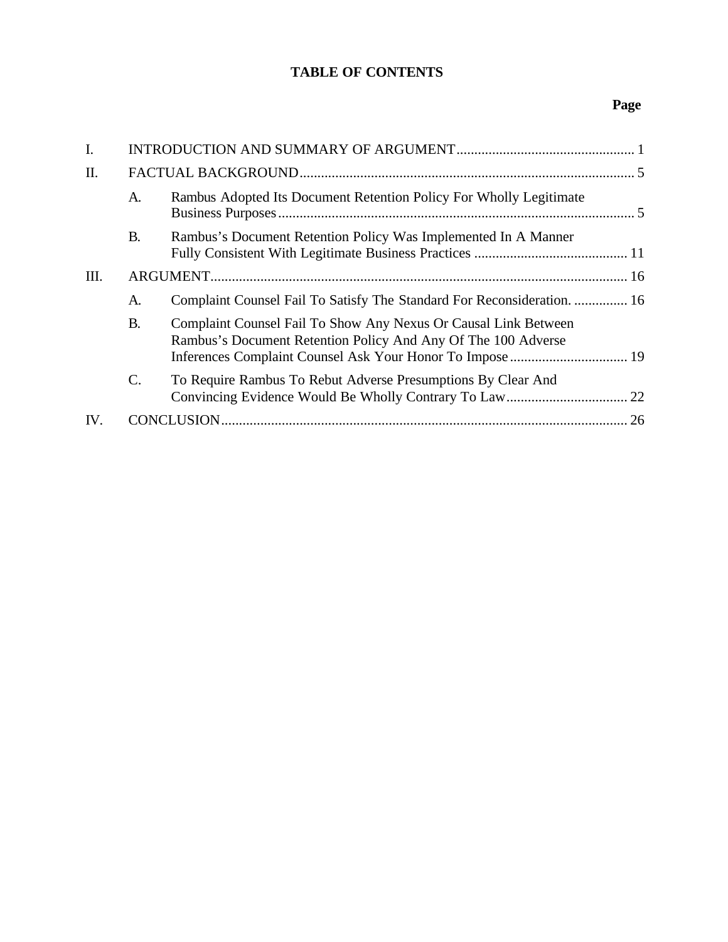# **TABLE OF CONTENTS**

# **Page**

| $\mathbf{I}$ . |                |                                                                                                                                  |    |
|----------------|----------------|----------------------------------------------------------------------------------------------------------------------------------|----|
| II.            |                |                                                                                                                                  |    |
|                | A.             | Rambus Adopted Its Document Retention Policy For Wholly Legitimate                                                               |    |
|                | <b>B.</b>      | Rambus's Document Retention Policy Was Implemented In A Manner                                                                   |    |
| Ш.             |                |                                                                                                                                  |    |
|                | A.             | Complaint Counsel Fail To Satisfy The Standard For Reconsideration.  16                                                          |    |
|                | <b>B.</b>      | Complaint Counsel Fail To Show Any Nexus Or Causal Link Between<br>Rambus's Document Retention Policy And Any Of The 100 Adverse |    |
|                | $\mathsf{C}$ . | To Require Rambus To Rebut Adverse Presumptions By Clear And                                                                     |    |
| IV.            |                |                                                                                                                                  | 26 |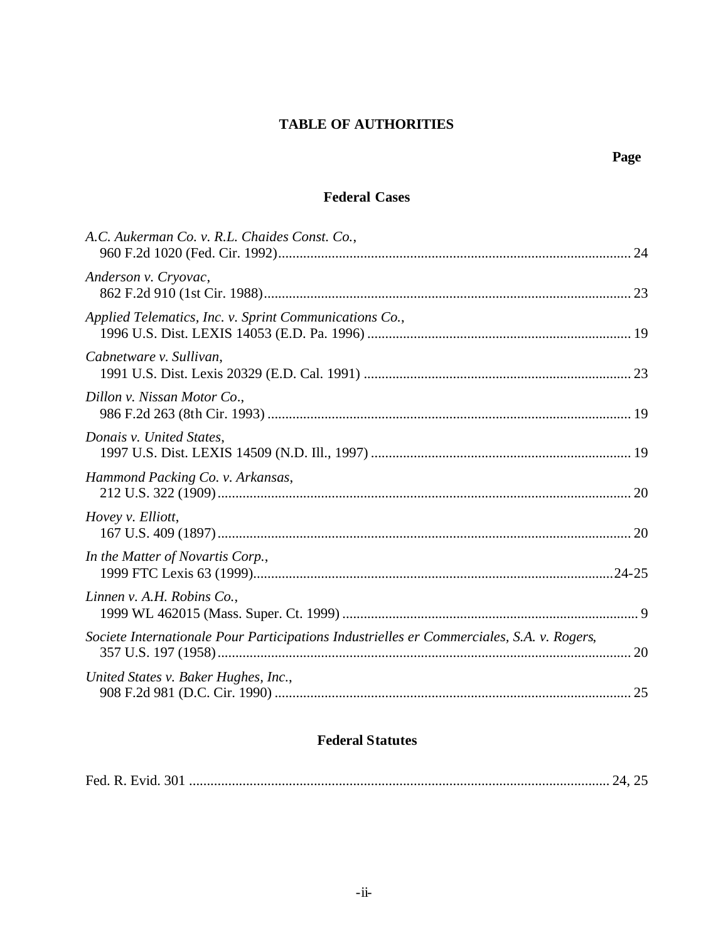# **TABLE OF AUTHORITIES**

### **Federal Cases**

# **Federal Statutes**

|--|--|--|--|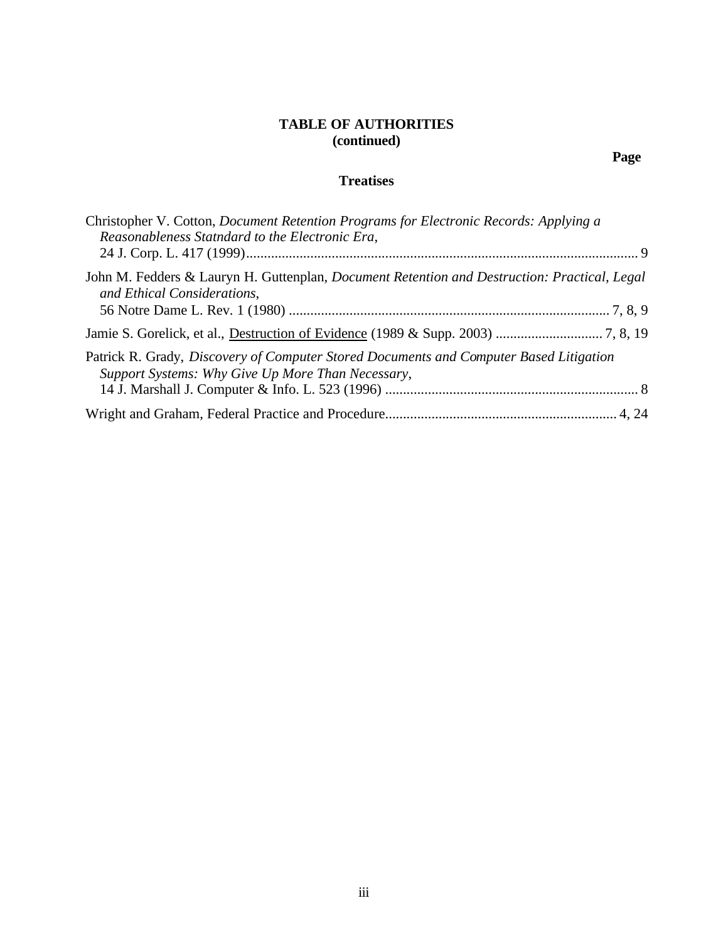### **TABLE OF AUTHORITIES (continued)**

### **Treatises**

| Christopher V. Cotton, Document Retention Programs for Electronic Records: Applying a                                                       |
|---------------------------------------------------------------------------------------------------------------------------------------------|
| Reasonableness Statndard to the Electronic Era,                                                                                             |
|                                                                                                                                             |
| John M. Fedders & Lauryn H. Guttenplan, <i>Document Retention and Destruction: Practical, Legal</i><br>and Ethical Considerations,          |
|                                                                                                                                             |
|                                                                                                                                             |
| Patrick R. Grady, Discovery of Computer Stored Documents and Computer Based Litigation<br>Support Systems: Why Give Up More Than Necessary, |
|                                                                                                                                             |
|                                                                                                                                             |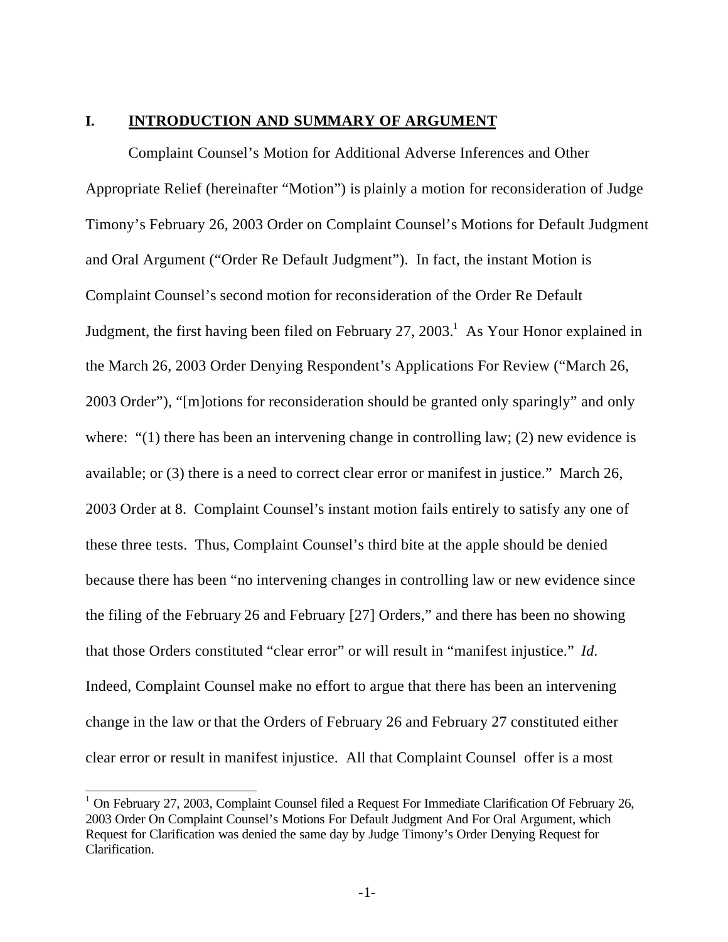#### **I. INTRODUCTION AND SUMMARY OF ARGUMENT**

Complaint Counsel's Motion for Additional Adverse Inferences and Other Appropriate Relief (hereinafter "Motion") is plainly a motion for reconsideration of Judge Timony's February 26, 2003 Order on Complaint Counsel's Motions for Default Judgment and Oral Argument ("Order Re Default Judgment"). In fact, the instant Motion is Complaint Counsel's second motion for reconsideration of the Order Re Default Judgment, the first having been filed on February 27, 2003.<sup>1</sup> As Your Honor explained in the March 26, 2003 Order Denying Respondent's Applications For Review ("March 26, 2003 Order"), "[m]otions for reconsideration should be granted only sparingly" and only where: "(1) there has been an intervening change in controlling law; (2) new evidence is available; or (3) there is a need to correct clear error or manifest in justice." March 26, 2003 Order at 8. Complaint Counsel's instant motion fails entirely to satisfy any one of these three tests. Thus, Complaint Counsel's third bite at the apple should be denied because there has been "no intervening changes in controlling law or new evidence since the filing of the February 26 and February [27] Orders," and there has been no showing that those Orders constituted "clear error" or will result in "manifest injustice." *Id.* Indeed, Complaint Counsel make no effort to argue that there has been an intervening change in the law or that the Orders of February 26 and February 27 constituted either clear error or result in manifest injustice. All that Complaint Counsel offer is a most

 $\overline{\phantom{a}}$ 

<sup>&</sup>lt;sup>1</sup> On February 27, 2003, Complaint Counsel filed a Request For Immediate Clarification Of February 26, 2003 Order On Complaint Counsel's Motions For Default Judgment And For Oral Argument, which Request for Clarification was denied the same day by Judge Timony's Order Denying Request for Clarification.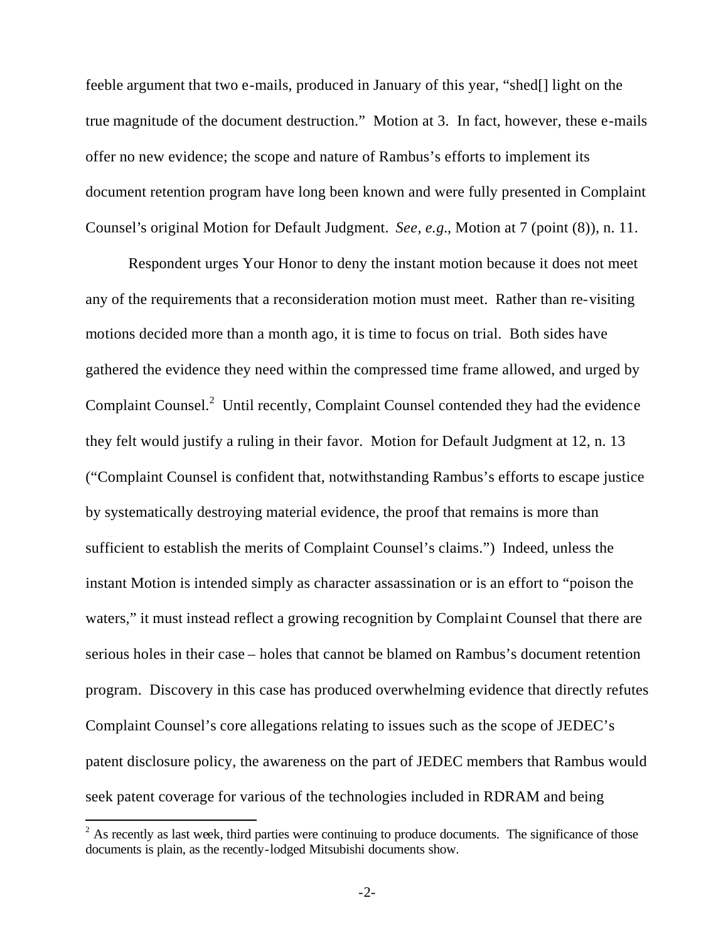feeble argument that two e-mails, produced in January of this year, "shed[] light on the true magnitude of the document destruction." Motion at 3. In fact, however, these e-mails offer no new evidence; the scope and nature of Rambus's efforts to implement its document retention program have long been known and were fully presented in Complaint Counsel's original Motion for Default Judgment. *See, e.g.*, Motion at 7 (point (8)), n. 11.

Respondent urges Your Honor to deny the instant motion because it does not meet any of the requirements that a reconsideration motion must meet. Rather than re-visiting motions decided more than a month ago, it is time to focus on trial. Both sides have gathered the evidence they need within the compressed time frame allowed, and urged by Complaint Counsel. $2$  Until recently, Complaint Counsel contended they had the evidence they felt would justify a ruling in their favor. Motion for Default Judgment at 12, n. 13 ("Complaint Counsel is confident that, notwithstanding Rambus's efforts to escape justice by systematically destroying material evidence, the proof that remains is more than sufficient to establish the merits of Complaint Counsel's claims.") Indeed, unless the instant Motion is intended simply as character assassination or is an effort to "poison the waters," it must instead reflect a growing recognition by Complaint Counsel that there are serious holes in their case – holes that cannot be blamed on Rambus's document retention program. Discovery in this case has produced overwhelming evidence that directly refutes Complaint Counsel's core allegations relating to issues such as the scope of JEDEC's patent disclosure policy, the awareness on the part of JEDEC members that Rambus would seek patent coverage for various of the technologies included in RDRAM and being

 $\overline{a}$ 

 $2^2$  As recently as last week, third parties were continuing to produce documents. The significance of those documents is plain, as the recently-lodged Mitsubishi documents show.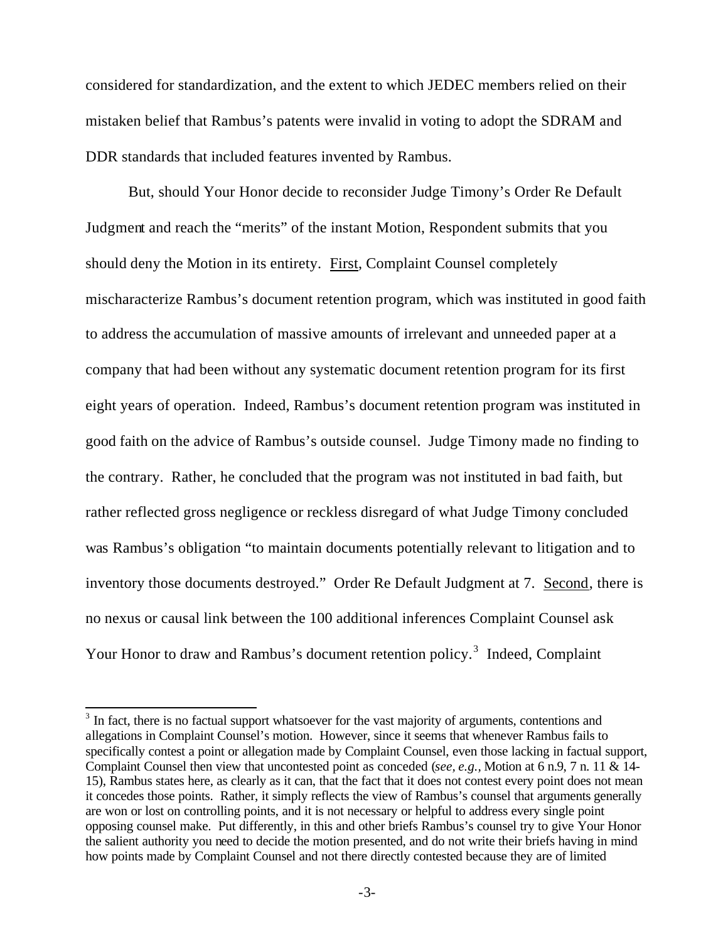considered for standardization, and the extent to which JEDEC members relied on their mistaken belief that Rambus's patents were invalid in voting to adopt the SDRAM and DDR standards that included features invented by Rambus.

But, should Your Honor decide to reconsider Judge Timony's Order Re Default Judgment and reach the "merits" of the instant Motion, Respondent submits that you should deny the Motion in its entirety. First, Complaint Counsel completely mischaracterize Rambus's document retention program, which was instituted in good faith to address the accumulation of massive amounts of irrelevant and unneeded paper at a company that had been without any systematic document retention program for its first eight years of operation. Indeed, Rambus's document retention program was instituted in good faith on the advice of Rambus's outside counsel. Judge Timony made no finding to the contrary. Rather, he concluded that the program was not instituted in bad faith, but rather reflected gross negligence or reckless disregard of what Judge Timony concluded was Rambus's obligation "to maintain documents potentially relevant to litigation and to inventory those documents destroyed." Order Re Default Judgment at 7. Second, there is no nexus or causal link between the 100 additional inferences Complaint Counsel ask Your Honor to draw and Rambus's document retention policy.<sup>3</sup> Indeed, Complaint

<sup>&</sup>lt;sup>3</sup> In fact, there is no factual support whatsoever for the vast majority of arguments, contentions and allegations in Complaint Counsel's motion. However, since it seems that whenever Rambus fails to specifically contest a point or allegation made by Complaint Counsel, even those lacking in factual support, Complaint Counsel then view that uncontested point as conceded (*see, e.g.,* Motion at 6 n.9, 7 n. 11 & 14- 15), Rambus states here, as clearly as it can, that the fact that it does not contest every point does not mean it concedes those points. Rather, it simply reflects the view of Rambus's counsel that arguments generally are won or lost on controlling points, and it is not necessary or helpful to address every single point opposing counsel make. Put differently, in this and other briefs Rambus's counsel try to give Your Honor the salient authority you need to decide the motion presented, and do not write their briefs having in mind how points made by Complaint Counsel and not there directly contested because they are of limited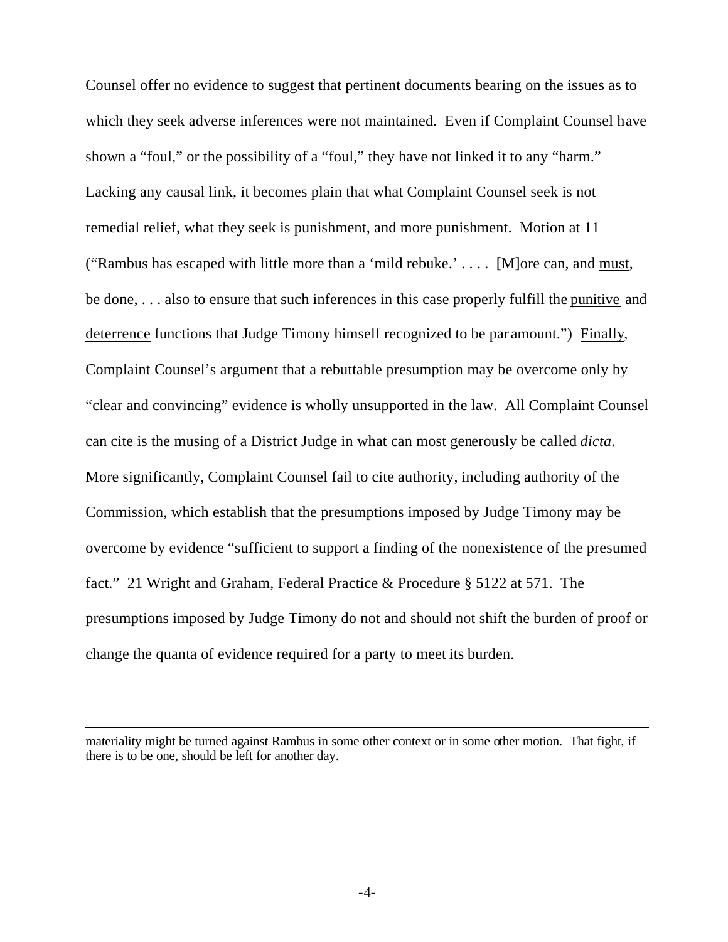Counsel offer no evidence to suggest that pertinent documents bearing on the issues as to which they seek adverse inferences were not maintained. Even if Complaint Counsel have shown a "foul," or the possibility of a "foul," they have not linked it to any "harm." Lacking any causal link, it becomes plain that what Complaint Counsel seek is not remedial relief, what they seek is punishment, and more punishment. Motion at 11 ("Rambus has escaped with little more than a 'mild rebuke.' . . . . [M]ore can, and must, be done, . . . also to ensure that such inferences in this case properly fulfill the punitive and deterrence functions that Judge Timony himself recognized to be par amount.") Finally, Complaint Counsel's argument that a rebuttable presumption may be overcome only by "clear and convincing" evidence is wholly unsupported in the law. All Complaint Counsel can cite is the musing of a District Judge in what can most generously be called *dicta*. More significantly, Complaint Counsel fail to cite authority, including authority of the Commission, which establish that the presumptions imposed by Judge Timony may be overcome by evidence "sufficient to support a finding of the nonexistence of the presumed fact." 21 Wright and Graham, Federal Practice & Procedure § 5122 at 571. The presumptions imposed by Judge Timony do not and should not shift the burden of proof or change the quanta of evidence required for a party to meet its burden.

 $\overline{a}$ 

materiality might be turned against Rambus in some other context or in some other motion. That fight, if there is to be one, should be left for another day.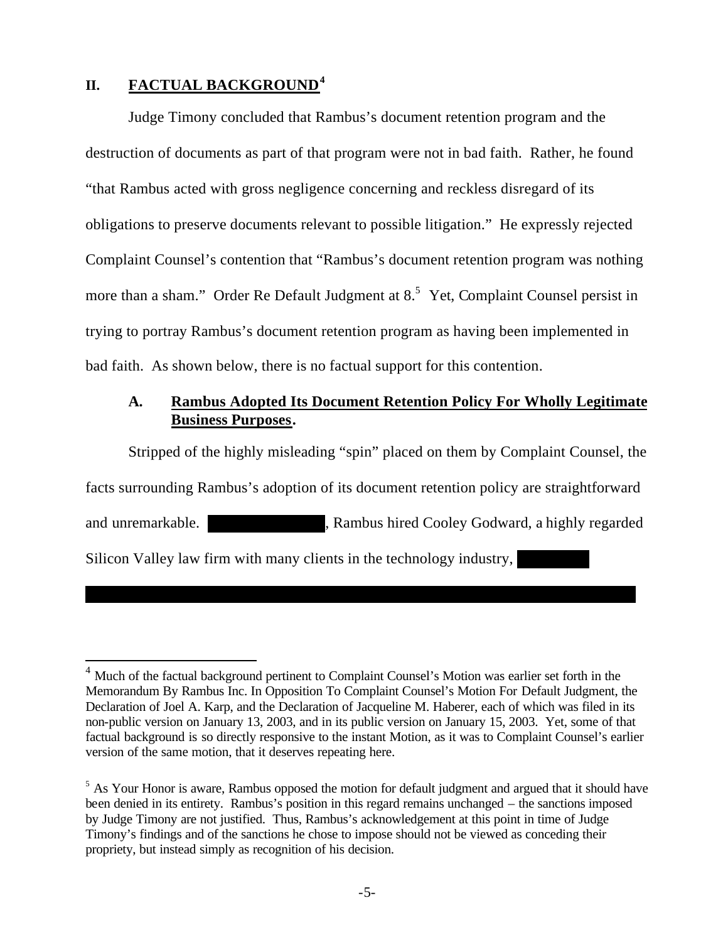# **II. FACTUAL BACKGROUND<sup>4</sup>**

 $\overline{a}$ 

Judge Timony concluded that Rambus's document retention program and the destruction of documents as part of that program were not in bad faith. Rather, he found "that Rambus acted with gross negligence concerning and reckless disregard of its obligations to preserve documents relevant to possible litigation." He expressly rejected Complaint Counsel's contention that "Rambus's document retention program was nothing more than a sham." Order Re Default Judgment at  $8.5$  Yet, Complaint Counsel persist in trying to portray Rambus's document retention program as having been implemented in bad faith. As shown below, there is no factual support for this contention.

# **A. Rambus Adopted Its Document Retention Policy For Wholly Legitimate Business Purposes.**

Stripped of the highly misleading "spin" placed on them by Complaint Counsel, the facts surrounding Rambus's adoption of its document retention policy are straightforward and unremarkable. \*\*\*\*\*\*\*\*\*\*\*\*\*\*\*, Rambus hired Cooley Godward, a highly regarded Silicon Valley law firm with many clients in the technology industry,

<sup>&</sup>lt;sup>4</sup> Much of the factual background pertinent to Complaint Counsel's Motion was earlier set forth in the Memorandum By Rambus Inc. In Opposition To Complaint Counsel's Motion For Default Judgment, the Declaration of Joel A. Karp, and the Declaration of Jacqueline M. Haberer, each of which was filed in its non-public version on January 13, 2003, and in its public version on January 15, 2003. Yet, some of that factual background is so directly responsive to the instant Motion, as it was to Complaint Counsel's earlier version of the same motion, that it deserves repeating here.

<sup>&</sup>lt;sup>5</sup> As Your Honor is aware, Rambus opposed the motion for default judgment and argued that it should have been denied in its entirety. Rambus's position in this regard remains unchanged – the sanctions imposed by Judge Timony are not justified. Thus, Rambus's acknowledgement at this point in time of Judge Timony's findings and of the sanctions he chose to impose should not be viewed as conceding their propriety, but instead simply as recognition of his decision.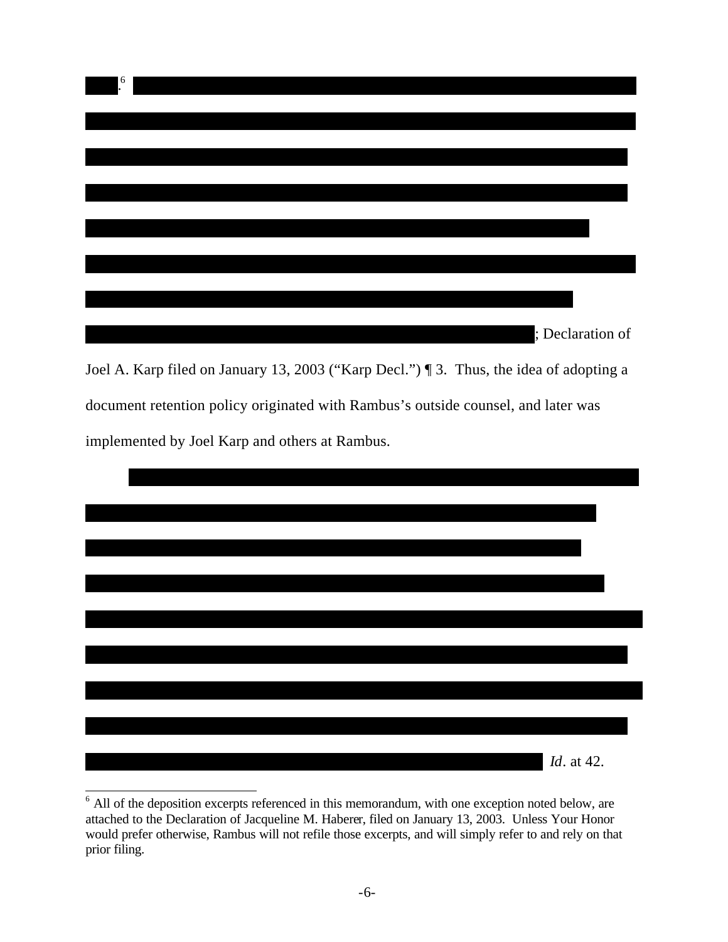

document retention policy originated with Rambus's outside counsel, and later was implemented by Joel Karp and others at Rambus.



 $6$  All of the deposition excerpts referenced in this memorandum, with one exception noted below, are attached to the Declaration of Jacqueline M. Haberer, filed on January 13, 2003. Unless Your Honor would prefer otherwise, Rambus will not refile those excerpts, and will simply refer to and rely on that prior filing.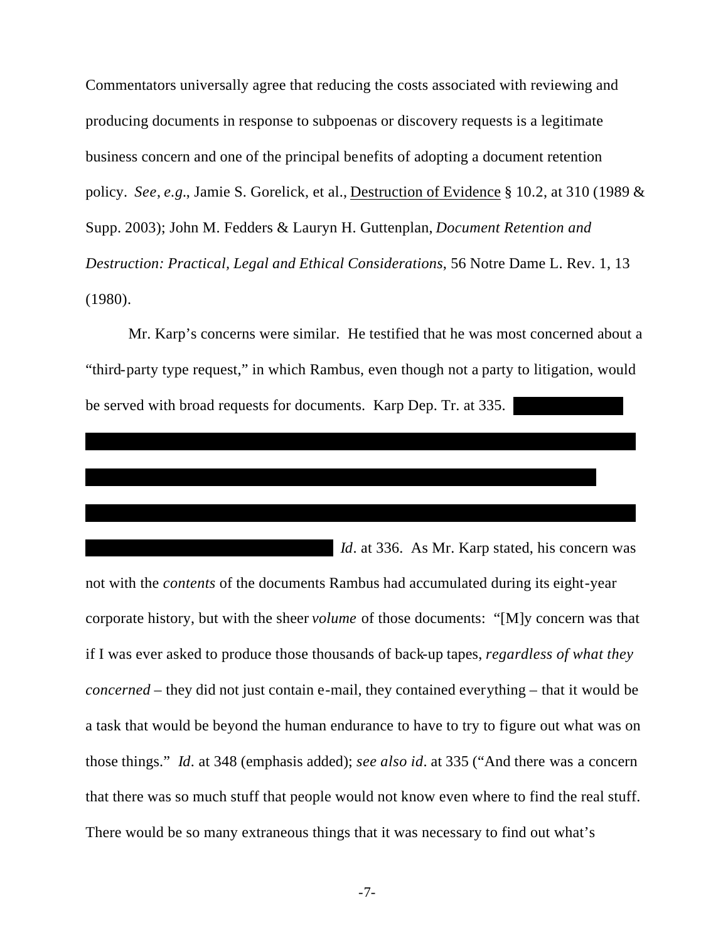Commentators universally agree that reducing the costs associated with reviewing and producing documents in response to subpoenas or discovery requests is a legitimate business concern and one of the principal benefits of adopting a document retention policy. *See*, *e.g.*, Jamie S. Gorelick, et al., Destruction of Evidence § 10.2, at 310 (1989 & Supp. 2003); John M. Fedders & Lauryn H. Guttenplan, *Document Retention and Destruction: Practical, Legal and Ethical Considerations*, 56 Notre Dame L. Rev. 1, 13 (1980).

Mr. Karp's concerns were similar. He testified that he was most concerned about a "third-party type request," in which Rambus, even though not a party to litigation, would be served with broad requests for documents. Karp Dep. Tr. at 335.

\*\*\*\*\*\*\*\*\*\*\*\*\*\*\*\*\*\*\*\*\*\*\*\*\*\*\*\*\*\*\*\*\*\*\*\*\*\*\*\*\*\*\*\*\*\*\*\*\*\*\*\*\*\*\*\*\*\*\*\*\*\*\*\*\*\*\*\*\*\*\*

\*\*\*\*\*\*\*\*\*\*\*\*\*\*\*\*\*\*\*\*\*\*\*\*\*\*\*\*\*\*\*\*\*\*\*\*\*\*\*\*\*\*\*\*\*\*\*\*\*\*\*\*\*\*\*\*\*\*\*\*\*\*\*\*\*\*\*\*\*\*\*

\*\*\*\*\*\*\*\*\*\*\*\*\*\*\*\*\*\*\*\*\*\*\*\*\*\*\*\*\*\*\*\*\*\*\*\*\*\*\*\*\*\*\*\*\*\*\*\*\*\*\*\*\*\*\*\*\*\*\*\*\*\*\*\*\*\*

*Id.* at 336. As Mr. Karp stated, his concern was not with the *contents* of the documents Rambus had accumulated during its eight-year corporate history, but with the sheer *volume* of those documents: "[M]y concern was that if I was ever asked to produce those thousands of back-up tapes, *regardless of what they concerned* – they did not just contain e-mail, they contained everything – that it would be a task that would be beyond the human endurance to have to try to figure out what was on those things." *Id*. at 348 (emphasis added); *see also id*. at 335 ("And there was a concern that there was so much stuff that people would not know even where to find the real stuff. There would be so many extraneous things that it was necessary to find out what's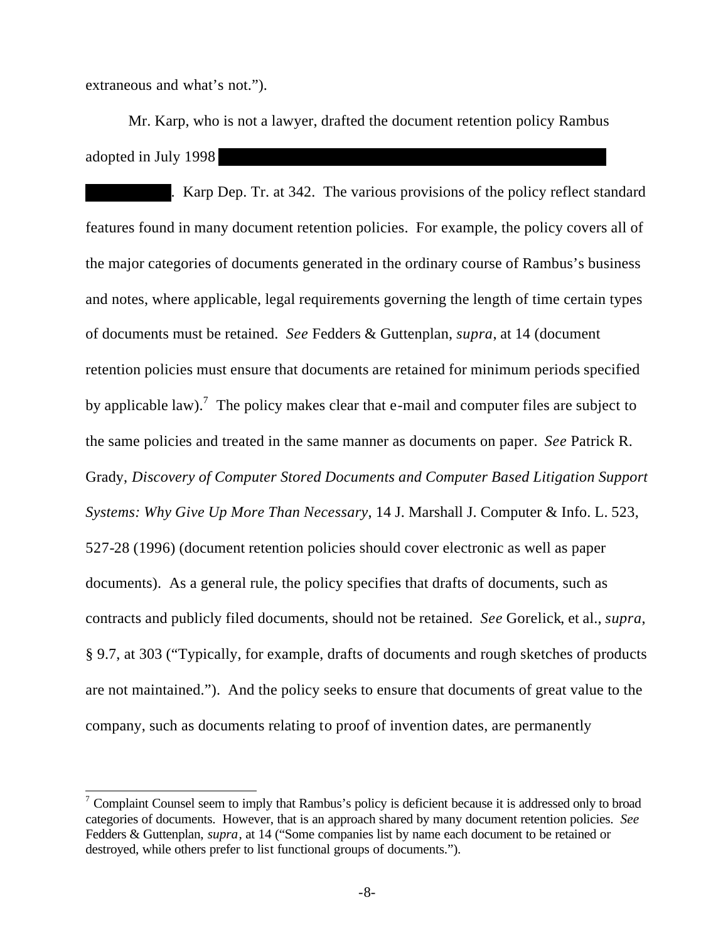extraneous and what's not.").

 $\overline{a}$ 

Mr. Karp, who is not a lawyer, drafted the document retention policy Rambus adopted in July 1998

. Karp Dep. Tr. at 342. The various provisions of the policy reflect standard features found in many document retention policies. For example, the policy covers all of the major categories of documents generated in the ordinary course of Rambus's business and notes, where applicable, legal requirements governing the length of time certain types of documents must be retained. *See* Fedders & Guttenplan, *supra*, at 14 (document retention policies must ensure that documents are retained for minimum periods specified by applicable law).<sup>7</sup> The policy makes clear that e-mail and computer files are subject to the same policies and treated in the same manner as documents on paper. *See* Patrick R. Grady, *Discovery of Computer Stored Documents and Computer Based Litigation Support Systems: Why Give Up More Than Necessary*, 14 J. Marshall J. Computer & Info. L. 523, 527-28 (1996) (document retention policies should cover electronic as well as paper documents). As a general rule, the policy specifies that drafts of documents, such as contracts and publicly filed documents, should not be retained. *See* Gorelick, et al., *supra*, § 9.7, at 303 ("Typically, for example, drafts of documents and rough sketches of products are not maintained."). And the policy seeks to ensure that documents of great value to the company, such as documents relating to proof of invention dates, are permanently

<sup>&</sup>lt;sup>7</sup> Complaint Counsel seem to imply that Rambus's policy is deficient because it is addressed only to broad categories of documents. However, that is an approach shared by many document retention policies. *See* Fedders & Guttenplan, *supra*, at 14 ("Some companies list by name each document to be retained or destroyed, while others prefer to list functional groups of documents.").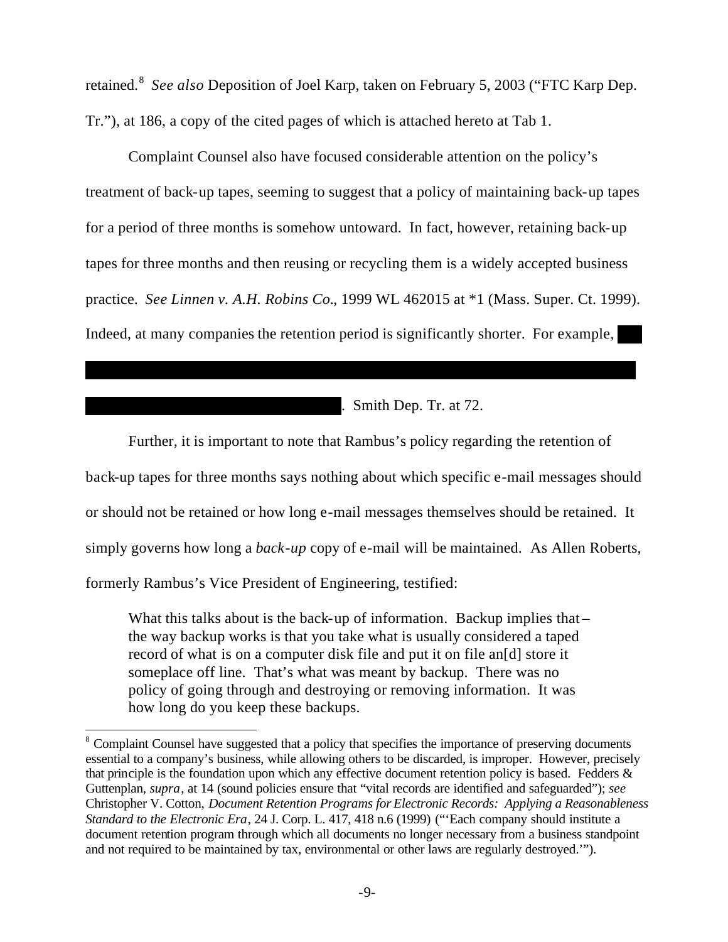retained.<sup>8</sup> *See also* Deposition of Joel Karp, taken on February 5, 2003 ("FTC Karp Dep. Tr."), at 186, a copy of the cited pages of which is attached hereto at Tab 1.

Complaint Counsel also have focused considerable attention on the policy's treatment of back-up tapes, seeming to suggest that a policy of maintaining back-up tapes for a period of three months is somehow untoward. In fact, however, retaining back-up tapes for three months and then reusing or recycling them is a widely accepted business practice. *See Linnen v. A.H. Robins Co.*, 1999 WL 462015 at \*1 (Mass. Super. Ct. 1999). Indeed, at many companies the retention period is significantly shorter. For example,

\*\*\*\*\*\*\*\*\*\*\*\*\*\*\*\*\*\*\*\*\*\*\*\*\*\*\*\*\*\*\*\*\*\*\*\*\*\*\*\*\*\*\*\*\*\*\*\*\*\*\*\*\*\*\*\*\*\*\*\*\*\*\*\*\*\*\*\*\*\*\*

 $\therefore$  Smith Dep. Tr. at 72.

Further, it is important to note that Rambus's policy regarding the retention of back-up tapes for three months says nothing about which specific e-mail messages should or should not be retained or how long e-mail messages themselves should be retained. It simply governs how long a *back-up* copy of e-mail will be maintained. As Allen Roberts, formerly Rambus's Vice President of Engineering, testified:

What this talks about is the back-up of information. Backup implies thatthe way backup works is that you take what is usually considered a taped record of what is on a computer disk file and put it on file an[d] store it someplace off line. That's what was meant by backup. There was no policy of going through and destroying or removing information. It was how long do you keep these backups.

 $\overline{a}$ 

<sup>&</sup>lt;sup>8</sup> Complaint Counsel have suggested that a policy that specifies the importance of preserving documents essential to a company's business, while allowing others to be discarded, is improper. However, precisely that principle is the foundation upon which any effective document retention policy is based. Fedders & Guttenplan, *supra*, at 14 (sound policies ensure that "vital records are identified and safeguarded"); *see* Christopher V. Cotton, *Document Retention Programs for Electronic Records: Applying a Reasonableness Standard to the Electronic Era*, 24 J. Corp. L. 417, 418 n.6 (1999) ("'Each company should institute a document retention program through which all documents no longer necessary from a business standpoint and not required to be maintained by tax, environmental or other laws are regularly destroyed.'").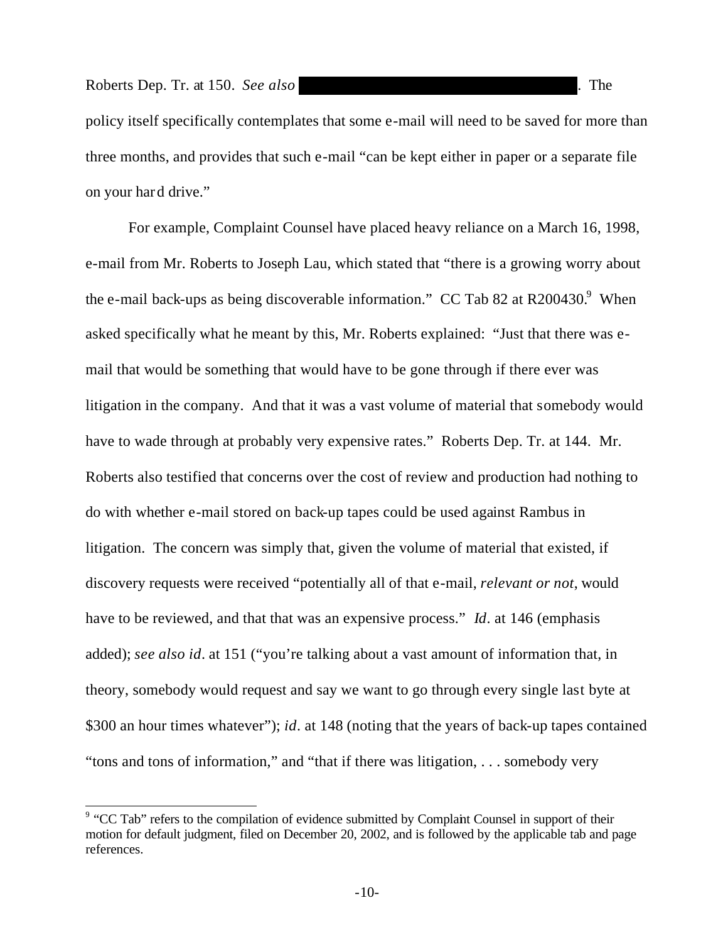policy itself specifically contemplates that some e-mail will need to be saved for more than three months, and provides that such e-mail "can be kept either in paper or a separate file on your hard drive."

For example, Complaint Counsel have placed heavy reliance on a March 16, 1998, e-mail from Mr. Roberts to Joseph Lau, which stated that "there is a growing worry about the e-mail back-ups as being discoverable information." CC Tab 82 at R200430. <sup>9</sup> When asked specifically what he meant by this, Mr. Roberts explained: "Just that there was email that would be something that would have to be gone through if there ever was litigation in the company. And that it was a vast volume of material that somebody would have to wade through at probably very expensive rates." Roberts Dep. Tr. at 144. Mr. Roberts also testified that concerns over the cost of review and production had nothing to do with whether e-mail stored on back-up tapes could be used against Rambus in litigation. The concern was simply that, given the volume of material that existed, if discovery requests were received "potentially all of that e-mail, *relevant or not*, would have to be reviewed, and that that was an expensive process." *Id*. at 146 (emphasis added); *see also id*. at 151 ("you're talking about a vast amount of information that, in theory, somebody would request and say we want to go through every single last byte at \$300 an hour times whatever"); *id*. at 148 (noting that the years of back-up tapes contained "tons and tons of information," and "that if there was litigation, . . . somebody very

<sup>&</sup>lt;sup>9</sup> "CC Tab" refers to the compilation of evidence submitted by Complaint Counsel in support of their motion for default judgment, filed on December 20, 2002, and is followed by the applicable tab and page references.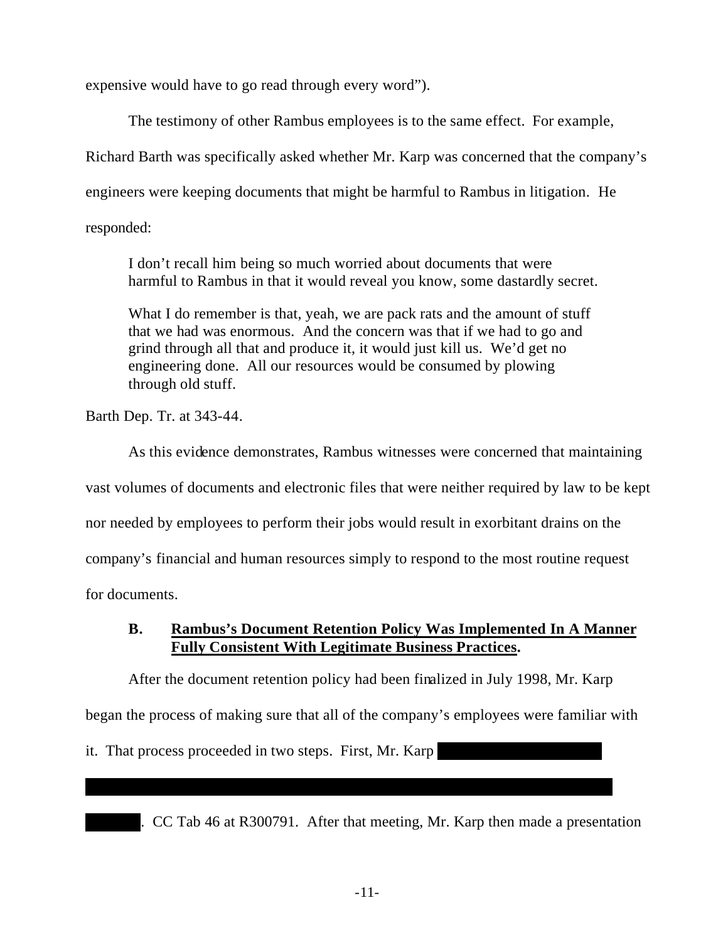expensive would have to go read through every word").

The testimony of other Rambus employees is to the same effect. For example, Richard Barth was specifically asked whether Mr. Karp was concerned that the company's engineers were keeping documents that might be harmful to Rambus in litigation. He responded:

I don't recall him being so much worried about documents that were harmful to Rambus in that it would reveal you know, some dastardly secret.

What I do remember is that, yeah, we are pack rats and the amount of stuff that we had was enormous. And the concern was that if we had to go and grind through all that and produce it, it would just kill us. We'd get no engineering done. All our resources would be consumed by plowing through old stuff.

Barth Dep. Tr. at 343-44.

As this evidence demonstrates, Rambus witnesses were concerned that maintaining vast volumes of documents and electronic files that were neither required by law to be kept nor needed by employees to perform their jobs would result in exorbitant drains on the company's financial and human resources simply to respond to the most routine request for documents.

# **B. Rambus's Document Retention Policy Was Implemented In A Manner Fully Consistent With Legitimate Business Practices.**

After the document retention policy had been finalized in July 1998, Mr. Karp began the process of making sure that all of the company's employees were familiar with

\*\*\*\*\*\*\*\*\*\*\*\*\*\*\*\*\*\*\*\*\*\*\*\*\*\*\*\*\*\*\*\*\*\*\*\*\*\*\*\*\*\*\*\*\*\*\*\*\*\*\*\*\*\*\*\*\*\*\*\*\*\*\*\*\*\*\*\*

it. That process proceeded in two steps. First, Mr. Karp

. CC Tab 46 at R300791. After that meeting, Mr. Karp then made a presentation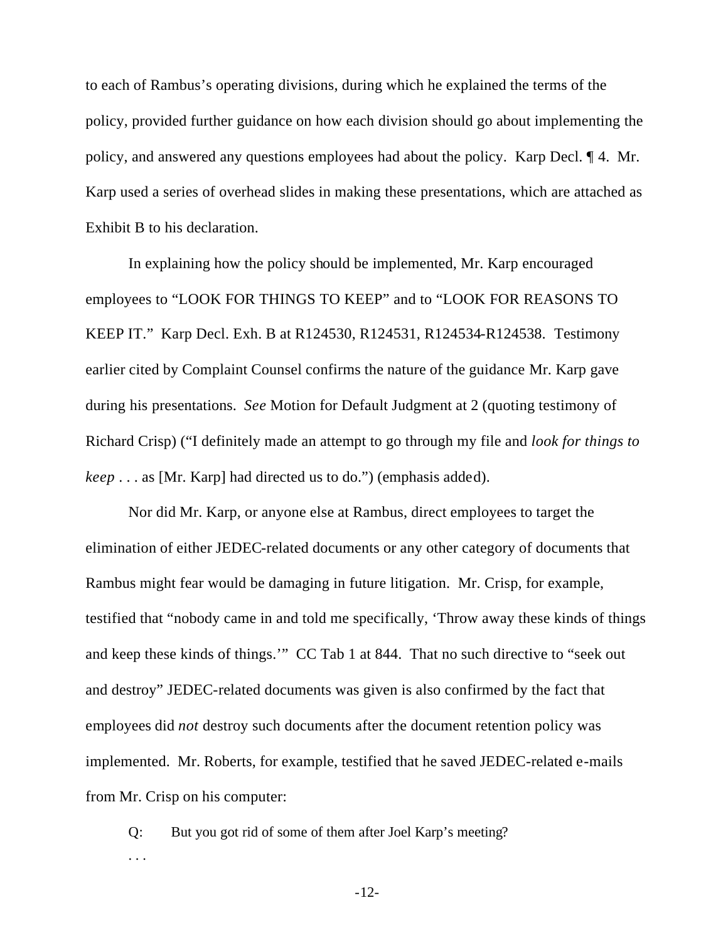to each of Rambus's operating divisions, during which he explained the terms of the policy, provided further guidance on how each division should go about implementing the policy, and answered any questions employees had about the policy. Karp Decl. ¶ 4. Mr. Karp used a series of overhead slides in making these presentations, which are attached as Exhibit B to his declaration.

In explaining how the policy should be implemented, Mr. Karp encouraged employees to "LOOK FOR THINGS TO KEEP" and to "LOOK FOR REASONS TO KEEP IT." Karp Decl. Exh. B at R124530, R124531, R124534-R124538. Testimony earlier cited by Complaint Counsel confirms the nature of the guidance Mr. Karp gave during his presentations. *See* Motion for Default Judgment at 2 (quoting testimony of Richard Crisp) ("I definitely made an attempt to go through my file and *look for things to keep* . . . as [Mr. Karp] had directed us to do.") (emphasis added).

Nor did Mr. Karp, or anyone else at Rambus, direct employees to target the elimination of either JEDEC-related documents or any other category of documents that Rambus might fear would be damaging in future litigation. Mr. Crisp, for example, testified that "nobody came in and told me specifically, 'Throw away these kinds of things and keep these kinds of things.'" CC Tab 1 at 844. That no such directive to "seek out and destroy" JEDEC-related documents was given is also confirmed by the fact that employees did *not* destroy such documents after the document retention policy was implemented. Mr. Roberts, for example, testified that he saved JEDEC-related e-mails from Mr. Crisp on his computer:

Q: But you got rid of some of them after Joel Karp's meeting? . . .

-12-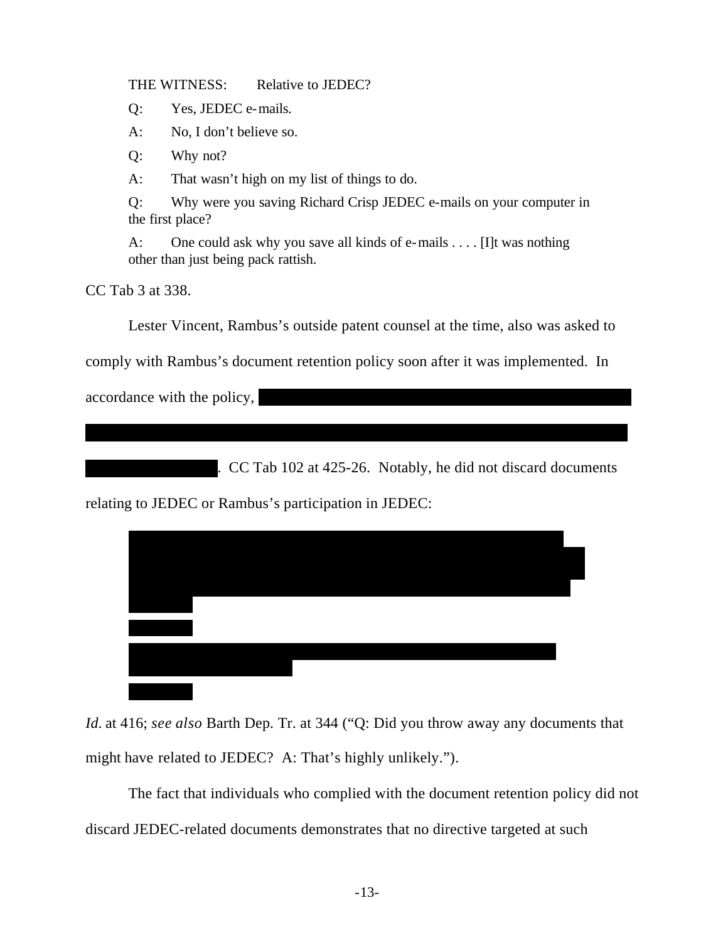THE WITNESS: Relative to JEDEC?

Q: Yes, JEDEC e-mails.

A: No, I don't believe so.

Q: Why not?

A: That wasn't high on my list of things to do.

Q: Why were you saving Richard Crisp JEDEC e-mails on your computer in the first place?

A: One could ask why you save all kinds of e-mails . . . . [I]t was nothing other than just being pack rattish.

CC Tab 3 at 338.

Lester Vincent, Rambus's outside patent counsel at the time, also was asked to

comply with Rambus's document retention policy soon after it was implemented. In

\*\*\*\*\*\*\*\*\*\*\*\*\*\*\*\*\*\*\*\*\*\*\*\*\*\*\*\*\*\*\*\*\*\*\*\*\*\*\*\*\*\*\*\*\*\*\*\*\*\*\*\*\*\*\*\*\*\*\*\*\*\*\*\*\*\*\*\*\*\*

accordance with the policy, \*\*\*\*\*\*\*\*\*\*\*\*\*\*\*\*\*\*\*\*\*\*\*\*\*\*\*\*\*\*\*\*\*\*\*\*\*\*\*\*\*\*\*\*\*\*\*\*

 $\frac{1}{2}$  CC Tab 102 at 425-26. Notably, he did not discard documents

relating to JEDEC or Rambus's participation in JEDEC:



*Id.* at 416; *see also* Barth Dep. Tr. at 344 ("Q: Did you throw away any documents that might have related to JEDEC? A: That's highly unlikely.").

The fact that individuals who complied with the document retention policy did not discard JEDEC-related documents demonstrates that no directive targeted at such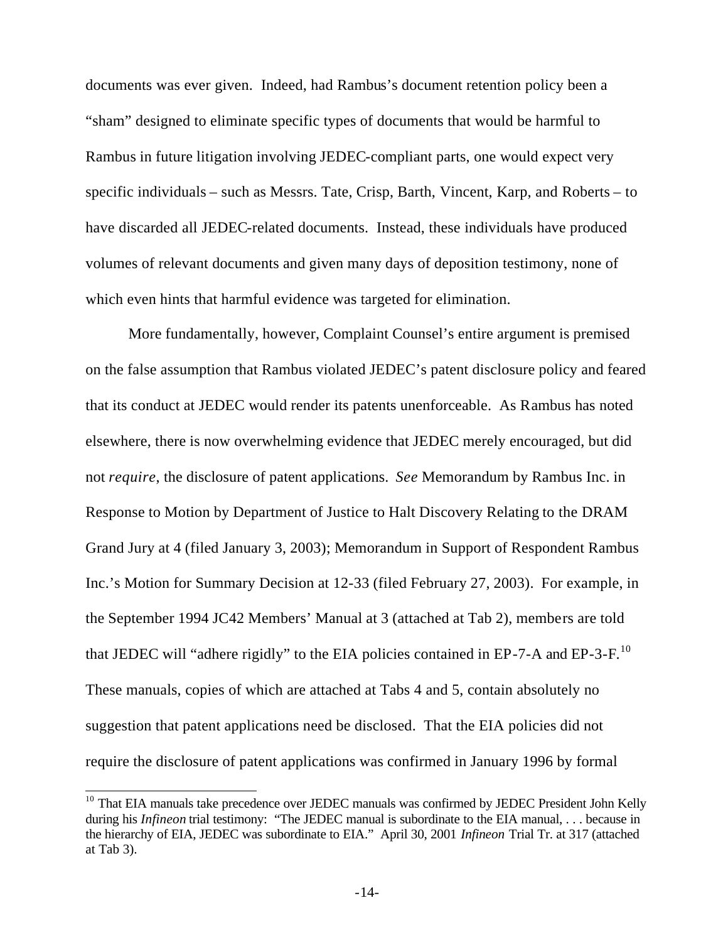documents was ever given. Indeed, had Rambus's document retention policy been a "sham" designed to eliminate specific types of documents that would be harmful to Rambus in future litigation involving JEDEC-compliant parts, one would expect very specific individuals – such as Messrs. Tate, Crisp, Barth, Vincent, Karp, and Roberts – to have discarded all JEDEC-related documents. Instead, these individuals have produced volumes of relevant documents and given many days of deposition testimony, none of which even hints that harmful evidence was targeted for elimination.

More fundamentally, however, Complaint Counsel's entire argument is premised on the false assumption that Rambus violated JEDEC's patent disclosure policy and feared that its conduct at JEDEC would render its patents unenforceable. As Rambus has noted elsewhere, there is now overwhelming evidence that JEDEC merely encouraged, but did not *require*, the disclosure of patent applications. *See* Memorandum by Rambus Inc. in Response to Motion by Department of Justice to Halt Discovery Relating to the DRAM Grand Jury at 4 (filed January 3, 2003); Memorandum in Support of Respondent Rambus Inc.'s Motion for Summary Decision at 12-33 (filed February 27, 2003). For example, in the September 1994 JC42 Members' Manual at 3 (attached at Tab 2), members are told that JEDEC will "adhere rigidly" to the EIA policies contained in EP-7-A and EP-3-F.<sup>10</sup> These manuals, copies of which are attached at Tabs 4 and 5, contain absolutely no suggestion that patent applications need be disclosed. That the EIA policies did not require the disclosure of patent applications was confirmed in January 1996 by formal

 $\overline{\phantom{a}}$ 

<sup>&</sup>lt;sup>10</sup> That EIA manuals take precedence over JEDEC manuals was confirmed by JEDEC President John Kelly during his *Infineon* trial testimony: "The JEDEC manual is subordinate to the EIA manual, ... because in the hierarchy of EIA, JEDEC was subordinate to EIA." April 30, 2001 *Infineon* Trial Tr. at 317 (attached at Tab 3).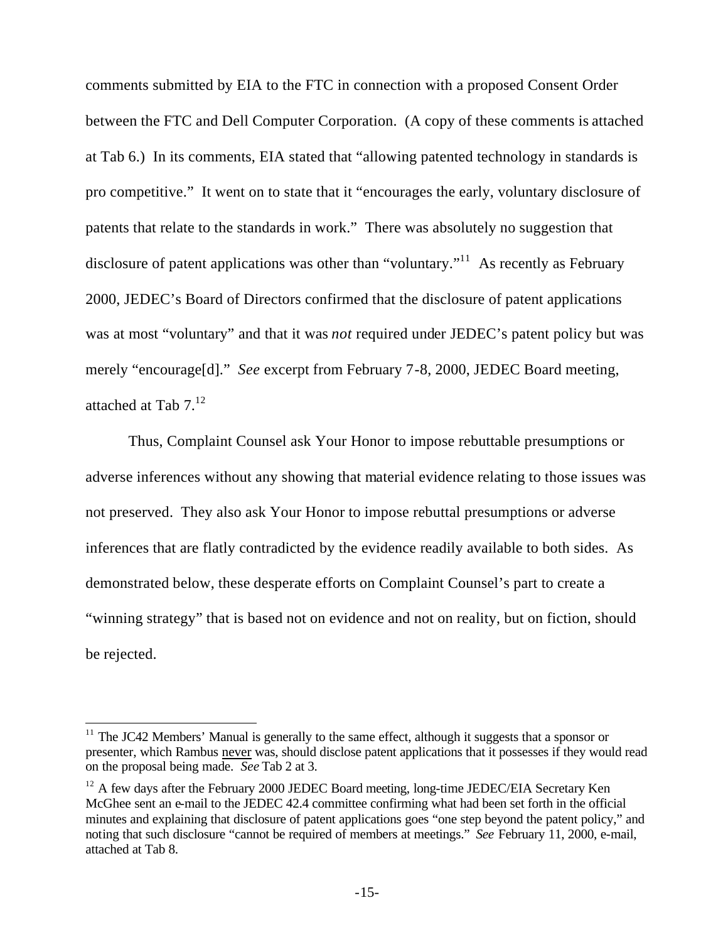comments submitted by EIA to the FTC in connection with a proposed Consent Order between the FTC and Dell Computer Corporation. (A copy of these comments is attached at Tab 6.) In its comments, EIA stated that "allowing patented technology in standards is pro competitive." It went on to state that it "encourages the early, voluntary disclosure of patents that relate to the standards in work." There was absolutely no suggestion that disclosure of patent applications was other than "voluntary."<sup>11</sup> As recently as February 2000, JEDEC's Board of Directors confirmed that the disclosure of patent applications was at most "voluntary" and that it was *not* required under JEDEC's patent policy but was merely "encourage[d]." *See* excerpt from February 7-8, 2000, JEDEC Board meeting, attached at Tab 7.<sup>12</sup>

Thus, Complaint Counsel ask Your Honor to impose rebuttable presumptions or adverse inferences without any showing that material evidence relating to those issues was not preserved. They also ask Your Honor to impose rebuttal presumptions or adverse inferences that are flatly contradicted by the evidence readily available to both sides. As demonstrated below, these desperate efforts on Complaint Counsel's part to create a "winning strategy" that is based not on evidence and not on reality, but on fiction, should be rejected.

 $\overline{a}$ 

 $11$  The JC42 Members' Manual is generally to the same effect, although it suggests that a sponsor or presenter, which Rambus never was, should disclose patent applications that it possesses if they would read on the proposal being made. *See* Tab 2 at 3.

<sup>&</sup>lt;sup>12</sup> A few days after the February 2000 JEDEC Board meeting, long-time JEDEC/EIA Secretary Ken McGhee sent an e-mail to the JEDEC 42.4 committee confirming what had been set forth in the official minutes and explaining that disclosure of patent applications goes "one step beyond the patent policy," and noting that such disclosure "cannot be required of members at meetings." *See* February 11, 2000, e-mail, attached at Tab 8.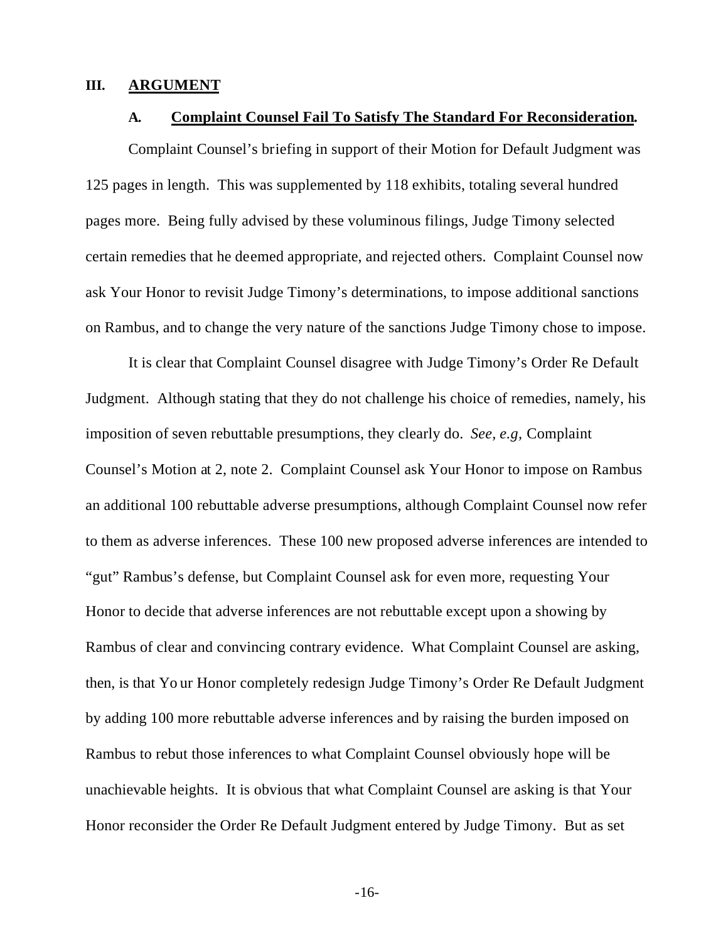#### **III. ARGUMENT**

#### **A. Complaint Counsel Fail To Satisfy The Standard For Reconsideration.**

Complaint Counsel's briefing in support of their Motion for Default Judgment was 125 pages in length. This was supplemented by 118 exhibits, totaling several hundred pages more. Being fully advised by these voluminous filings, Judge Timony selected certain remedies that he deemed appropriate, and rejected others. Complaint Counsel now ask Your Honor to revisit Judge Timony's determinations, to impose additional sanctions on Rambus, and to change the very nature of the sanctions Judge Timony chose to impose.

It is clear that Complaint Counsel disagree with Judge Timony's Order Re Default Judgment. Although stating that they do not challenge his choice of remedies, namely, his imposition of seven rebuttable presumptions, they clearly do. *See, e.g,* Complaint Counsel's Motion at 2, note 2. Complaint Counsel ask Your Honor to impose on Rambus an additional 100 rebuttable adverse presumptions, although Complaint Counsel now refer to them as adverse inferences. These 100 new proposed adverse inferences are intended to "gut" Rambus's defense, but Complaint Counsel ask for even more, requesting Your Honor to decide that adverse inferences are not rebuttable except upon a showing by Rambus of clear and convincing contrary evidence. What Complaint Counsel are asking, then, is that Yo ur Honor completely redesign Judge Timony's Order Re Default Judgment by adding 100 more rebuttable adverse inferences and by raising the burden imposed on Rambus to rebut those inferences to what Complaint Counsel obviously hope will be unachievable heights. It is obvious that what Complaint Counsel are asking is that Your Honor reconsider the Order Re Default Judgment entered by Judge Timony. But as set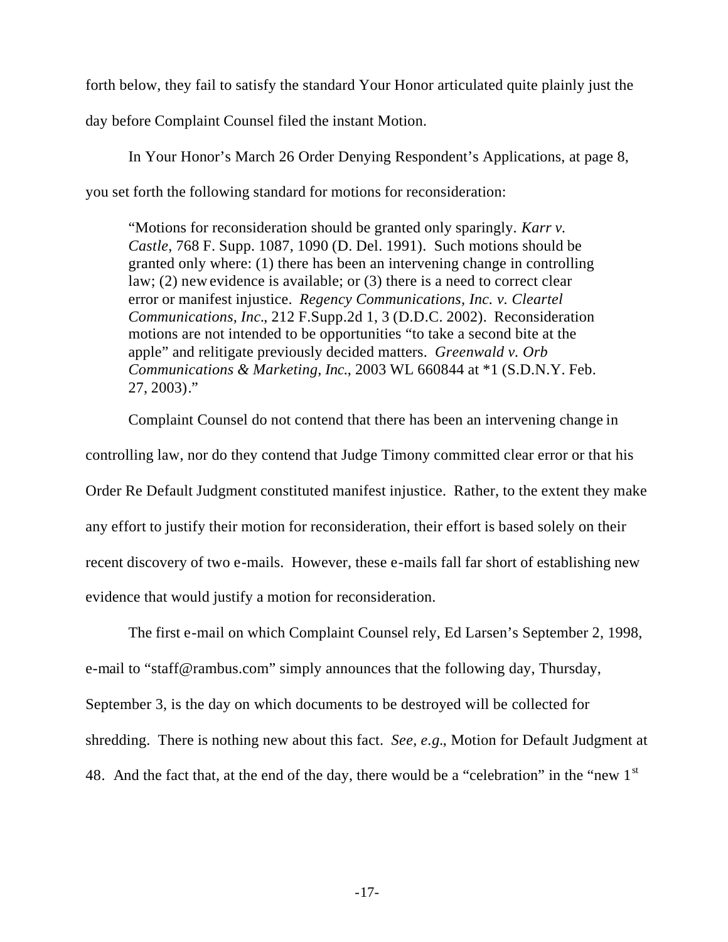forth below, they fail to satisfy the standard Your Honor articulated quite plainly just the day before Complaint Counsel filed the instant Motion.

In Your Honor's March 26 Order Denying Respondent's Applications, at page 8, you set forth the following standard for motions for reconsideration:

"Motions for reconsideration should be granted only sparingly. *Karr v. Castle*, 768 F. Supp. 1087, 1090 (D. Del. 1991). Such motions should be granted only where: (1) there has been an intervening change in controlling law; (2) new evidence is available; or (3) there is a need to correct clear error or manifest injustice. *Regency Communications, Inc. v. Cleartel Communications, Inc.*, 212 F.Supp.2d 1, 3 (D.D.C. 2002). Reconsideration motions are not intended to be opportunities "to take a second bite at the apple" and relitigate previously decided matters. *Greenwald v. Orb Communications & Marketing, Inc.*, 2003 WL 660844 at \*1 (S.D.N.Y. Feb. 27, 2003)."

Complaint Counsel do not contend that there has been an intervening change in controlling law, nor do they contend that Judge Timony committed clear error or that his Order Re Default Judgment constituted manifest injustice. Rather, to the extent they make any effort to justify their motion for reconsideration, their effort is based solely on their recent discovery of two e-mails. However, these e-mails fall far short of establishing new evidence that would justify a motion for reconsideration.

The first e-mail on which Complaint Counsel rely, Ed Larsen's September 2, 1998, e-mail to "staff@rambus.com" simply announces that the following day, Thursday, September 3, is the day on which documents to be destroyed will be collected for shredding. There is nothing new about this fact. *See, e.g.*, Motion for Default Judgment at 48. And the fact that, at the end of the day, there would be a "celebration" in the "new  $1<sup>st</sup>$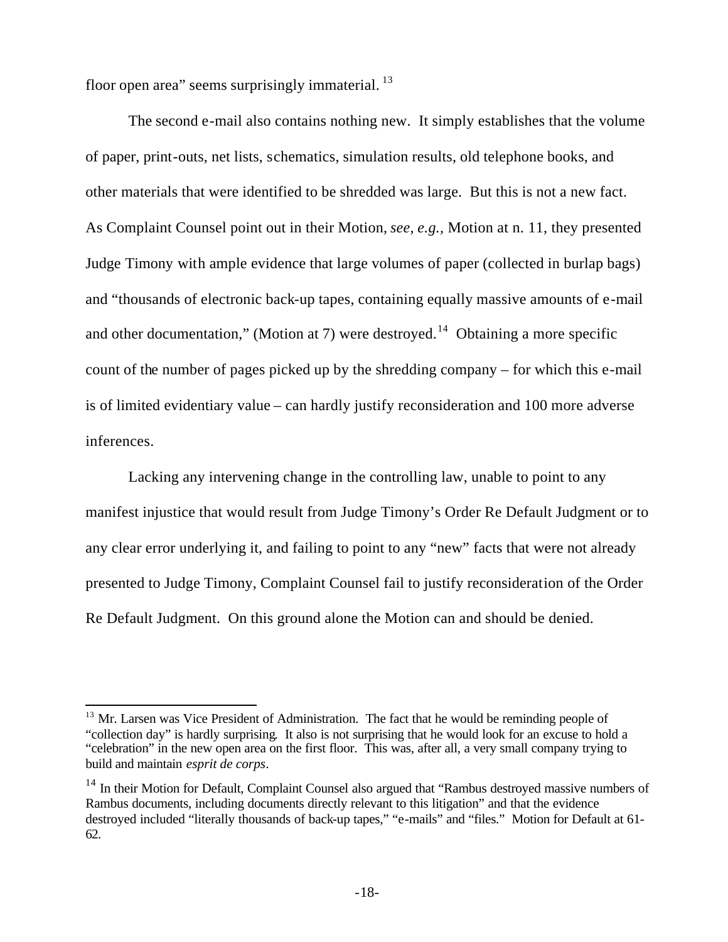floor open area" seems surprisingly immaterial.  $^{13}$ 

 $\overline{a}$ 

The second e-mail also contains nothing new. It simply establishes that the volume of paper, print-outs, net lists, schematics, simulation results, old telephone books, and other materials that were identified to be shredded was large. But this is not a new fact. As Complaint Counsel point out in their Motion, *see, e.g.,* Motion at n. 11, they presented Judge Timony with ample evidence that large volumes of paper (collected in burlap bags) and "thousands of electronic back-up tapes, containing equally massive amounts of e-mail and other documentation," (Motion at 7) were destroyed.<sup>14</sup> Obtaining a more specific count of the number of pages picked up by the shredding company – for which this e-mail is of limited evidentiary value – can hardly justify reconsideration and 100 more adverse inferences.

Lacking any intervening change in the controlling law, unable to point to any manifest injustice that would result from Judge Timony's Order Re Default Judgment or to any clear error underlying it, and failing to point to any "new" facts that were not already presented to Judge Timony, Complaint Counsel fail to justify reconsideration of the Order Re Default Judgment. On this ground alone the Motion can and should be denied.

<sup>&</sup>lt;sup>13</sup> Mr. Larsen was Vice President of Administration. The fact that he would be reminding people of "collection day" is hardly surprising. It also is not surprising that he would look for an excuse to hold a "celebration" in the new open area on the first floor. This was, after all, a very small company trying to build and maintain *esprit de corps*.

<sup>&</sup>lt;sup>14</sup> In their Motion for Default, Complaint Counsel also argued that "Rambus destroyed massive numbers of Rambus documents, including documents directly relevant to this litigation" and that the evidence destroyed included "literally thousands of back-up tapes," "e-mails" and "files." Motion for Default at 61- 62.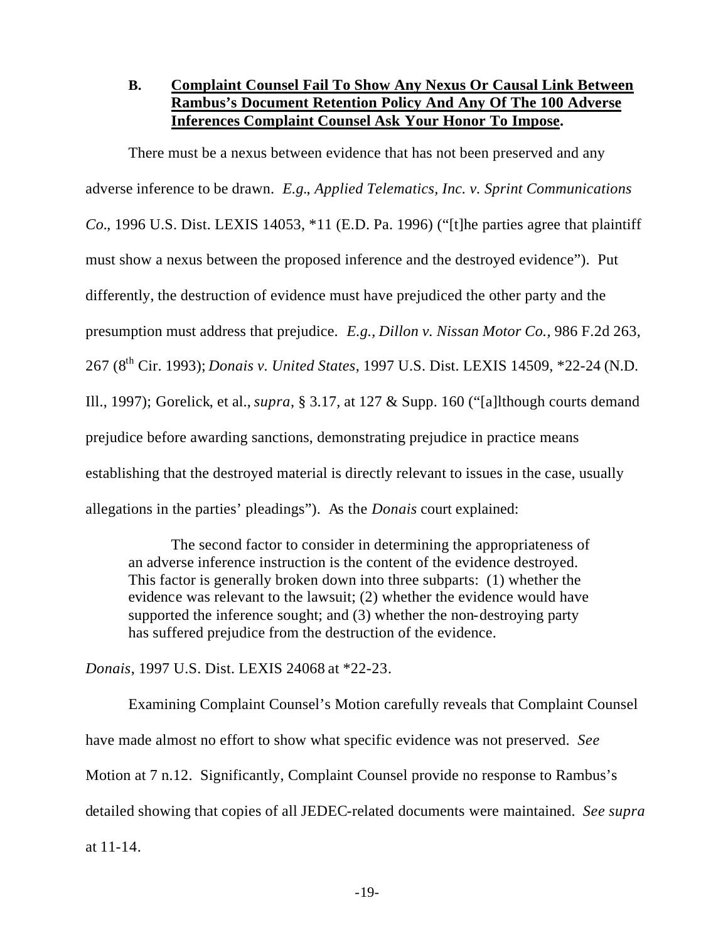# **B. Complaint Counsel Fail To Show Any Nexus Or Causal Link Between Rambus's Document Retention Policy And Any Of The 100 Adverse Inferences Complaint Counsel Ask Your Honor To Impose.**

There must be a nexus between evidence that has not been preserved and any adverse inference to be drawn. *E.g.*, *Applied Telematics, Inc. v. Sprint Communications Co.*, 1996 U.S. Dist. LEXIS 14053, \*11 (E.D. Pa. 1996) ("[t]he parties agree that plaintiff must show a nexus between the proposed inference and the destroyed evidence"). Put differently, the destruction of evidence must have prejudiced the other party and the presumption must address that prejudice. *E.g.*, *Dillon v. Nissan Motor Co.,* 986 F.2d 263, 267 (8th Cir. 1993); *Donais v. United States*, 1997 U.S. Dist. LEXIS 14509, \*22-24 (N.D. Ill., 1997); Gorelick, et al., *supra*, § 3.17, at 127 & Supp. 160 ("[a]lthough courts demand prejudice before awarding sanctions, demonstrating prejudice in practice means establishing that the destroyed material is directly relevant to issues in the case, usually allegations in the parties' pleadings"). As the *Donais* court explained:

The second factor to consider in determining the appropriateness of an adverse inference instruction is the content of the evidence destroyed. This factor is generally broken down into three subparts: (1) whether the evidence was relevant to the lawsuit; (2) whether the evidence would have supported the inference sought; and (3) whether the non-destroying party has suffered prejudice from the destruction of the evidence.

*Donais*, 1997 U.S. Dist. LEXIS 24068 at \*22-23.

Examining Complaint Counsel's Motion carefully reveals that Complaint Counsel have made almost no effort to show what specific evidence was not preserved. *See* Motion at 7 n.12. Significantly, Complaint Counsel provide no response to Rambus's detailed showing that copies of all JEDEC-related documents were maintained. *See supra* at 11-14.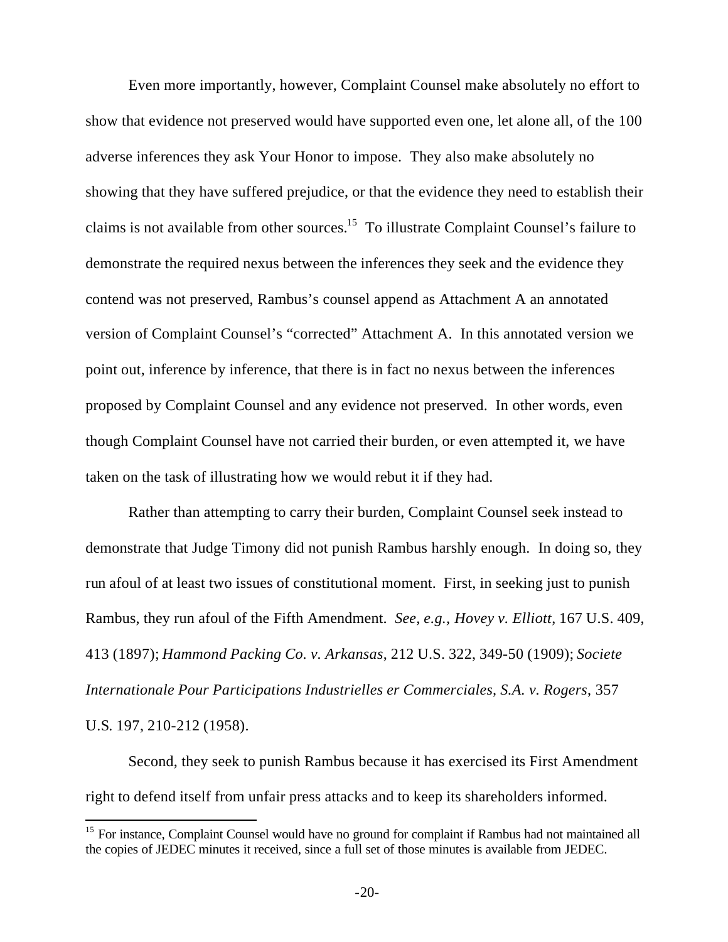Even more importantly, however, Complaint Counsel make absolutely no effort to show that evidence not preserved would have supported even one, let alone all, of the 100 adverse inferences they ask Your Honor to impose. They also make absolutely no showing that they have suffered prejudice, or that the evidence they need to establish their claims is not available from other sources.<sup>15</sup> To illustrate Complaint Counsel's failure to demonstrate the required nexus between the inferences they seek and the evidence they contend was not preserved, Rambus's counsel append as Attachment A an annotated version of Complaint Counsel's "corrected" Attachment A. In this annotated version we point out, inference by inference, that there is in fact no nexus between the inferences proposed by Complaint Counsel and any evidence not preserved. In other words, even though Complaint Counsel have not carried their burden, or even attempted it, we have taken on the task of illustrating how we would rebut it if they had.

Rather than attempting to carry their burden, Complaint Counsel seek instead to demonstrate that Judge Timony did not punish Rambus harshly enough. In doing so, they run afoul of at least two issues of constitutional moment. First, in seeking just to punish Rambus, they run afoul of the Fifth Amendment. *See, e.g., Hovey v. Elliott*, 167 U.S. 409, 413 (1897); *Hammond Packing Co. v. Arkansas*, 212 U.S. 322, 349-50 (1909); *Societe Internationale Pour Participations Industrielles er Commerciales, S.A. v. Rogers*, 357 U.S. 197, 210-212 (1958).

Second, they seek to punish Rambus because it has exercised its First Amendment right to defend itself from unfair press attacks and to keep its shareholders informed.

 $\overline{a}$ 

<sup>&</sup>lt;sup>15</sup> For instance, Complaint Counsel would have no ground for complaint if Rambus had not maintained all the copies of JEDEC minutes it received, since a full set of those minutes is available from JEDEC.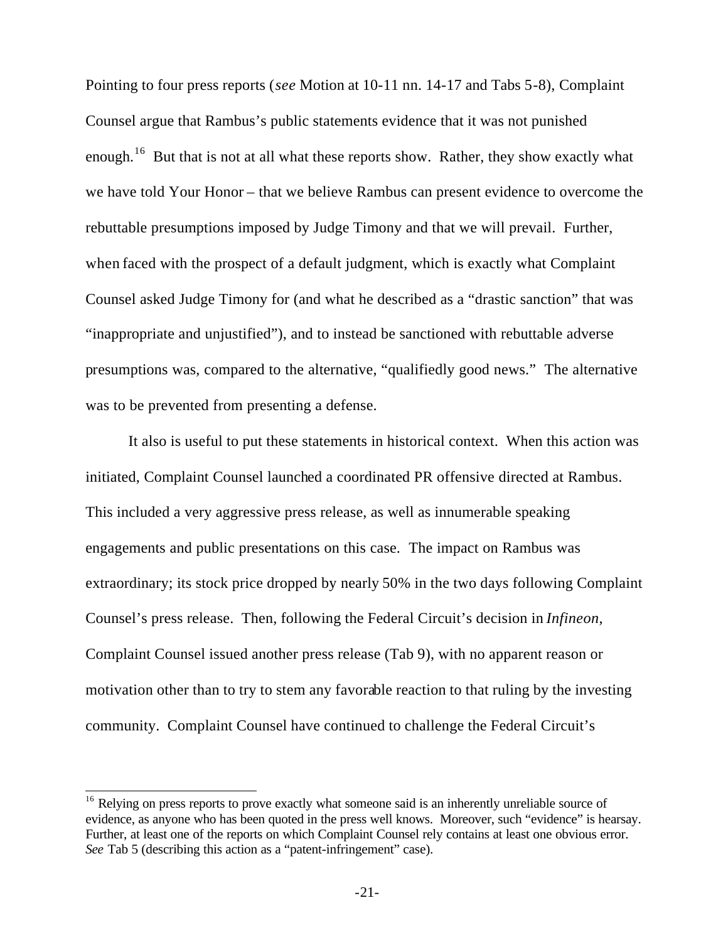Pointing to four press reports (*see* Motion at 10-11 nn. 14-17 and Tabs 5-8), Complaint Counsel argue that Rambus's public statements evidence that it was not punished enough.<sup>16</sup> But that is not at all what these reports show. Rather, they show exactly what we have told Your Honor – that we believe Rambus can present evidence to overcome the rebuttable presumptions imposed by Judge Timony and that we will prevail. Further, when faced with the prospect of a default judgment, which is exactly what Complaint Counsel asked Judge Timony for (and what he described as a "drastic sanction" that was "inappropriate and unjustified"), and to instead be sanctioned with rebuttable adverse presumptions was, compared to the alternative, "qualifiedly good news." The alternative was to be prevented from presenting a defense.

It also is useful to put these statements in historical context. When this action was initiated, Complaint Counsel launched a coordinated PR offensive directed at Rambus. This included a very aggressive press release, as well as innumerable speaking engagements and public presentations on this case. The impact on Rambus was extraordinary; its stock price dropped by nearly 50% in the two days following Complaint Counsel's press release. Then, following the Federal Circuit's decision in *Infineon*, Complaint Counsel issued another press release (Tab 9), with no apparent reason or motivation other than to try to stem any favorable reaction to that ruling by the investing community. Complaint Counsel have continued to challenge the Federal Circuit's

 $\overline{\phantom{a}}$ 

<sup>&</sup>lt;sup>16</sup> Relying on press reports to prove exactly what someone said is an inherently unreliable source of evidence, as anyone who has been quoted in the press well knows. Moreover, such "evidence" is hearsay. Further, at least one of the reports on which Complaint Counsel rely contains at least one obvious error. *See* Tab 5 (describing this action as a "patent-infringement" case).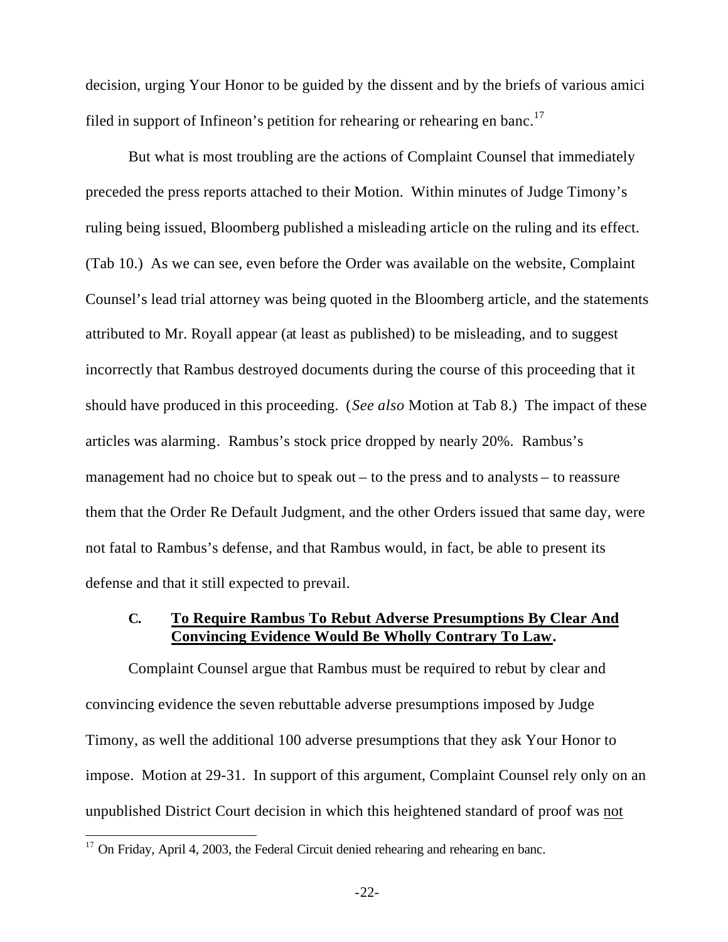decision, urging Your Honor to be guided by the dissent and by the briefs of various amici filed in support of Infineon's petition for rehearing or rehearing en banc.<sup>17</sup>

But what is most troubling are the actions of Complaint Counsel that immediately preceded the press reports attached to their Motion. Within minutes of Judge Timony's ruling being issued, Bloomberg published a misleading article on the ruling and its effect. (Tab 10.) As we can see, even before the Order was available on the website, Complaint Counsel's lead trial attorney was being quoted in the Bloomberg article, and the statements attributed to Mr. Royall appear (at least as published) to be misleading, and to suggest incorrectly that Rambus destroyed documents during the course of this proceeding that it should have produced in this proceeding. (*See also* Motion at Tab 8.) The impact of these articles was alarming. Rambus's stock price dropped by nearly 20%. Rambus's management had no choice but to speak out – to the press and to analysts – to reassure them that the Order Re Default Judgment, and the other Orders issued that same day, were not fatal to Rambus's defense, and that Rambus would, in fact, be able to present its defense and that it still expected to prevail.

### **C. To Require Rambus To Rebut Adverse Presumptions By Clear And Convincing Evidence Would Be Wholly Contrary To Law.**

Complaint Counsel argue that Rambus must be required to rebut by clear and convincing evidence the seven rebuttable adverse presumptions imposed by Judge Timony, as well the additional 100 adverse presumptions that they ask Your Honor to impose. Motion at 29-31. In support of this argument, Complaint Counsel rely only on an unpublished District Court decision in which this heightened standard of proof was not

 $\overline{a}$ 

 $17$  On Friday, April 4, 2003, the Federal Circuit denied rehearing and rehearing en banc.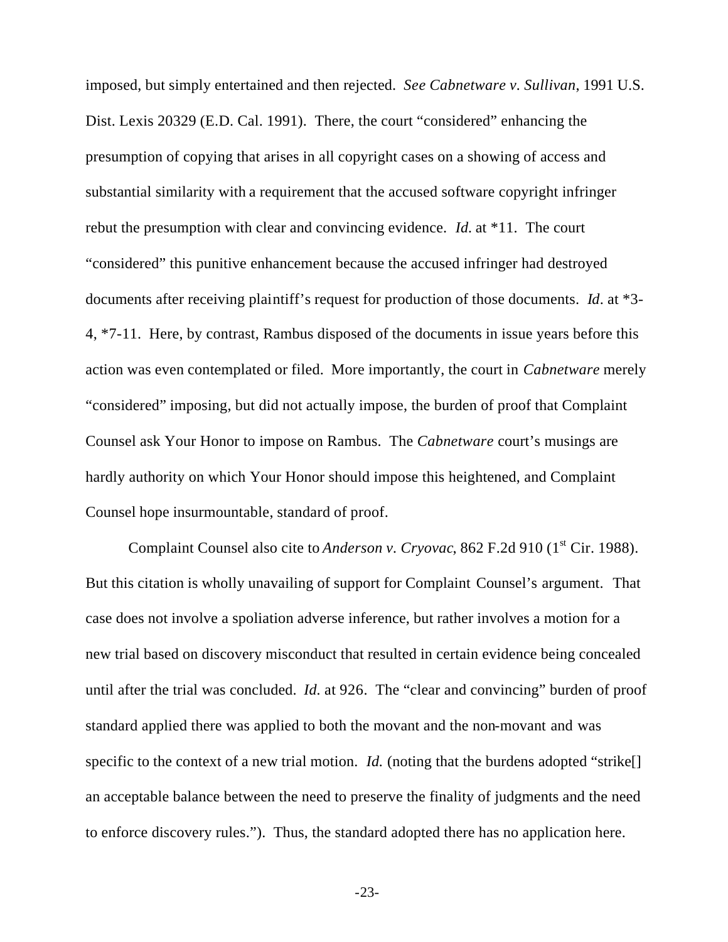imposed, but simply entertained and then rejected. *See Cabnetware v. Sullivan*, 1991 U.S. Dist. Lexis 20329 (E.D. Cal. 1991). There, the court "considered" enhancing the presumption of copying that arises in all copyright cases on a showing of access and substantial similarity with a requirement that the accused software copyright infringer rebut the presumption with clear and convincing evidence. *Id.* at \*11. The court "considered" this punitive enhancement because the accused infringer had destroyed documents after receiving plaintiff's request for production of those documents. *Id*. at \*3- 4, \*7-11. Here, by contrast, Rambus disposed of the documents in issue years before this action was even contemplated or filed. More importantly, the court in *Cabnetware* merely "considered" imposing, but did not actually impose, the burden of proof that Complaint Counsel ask Your Honor to impose on Rambus. The *Cabnetware* court's musings are hardly authority on which Your Honor should impose this heightened, and Complaint Counsel hope insurmountable, standard of proof.

Complaint Counsel also cite to *Anderson v. Cryovac*, 862 F.2d 910 (1<sup>st</sup> Cir. 1988). But this citation is wholly unavailing of support for Complaint Counsel's argument. That case does not involve a spoliation adverse inference, but rather involves a motion for a new trial based on discovery misconduct that resulted in certain evidence being concealed until after the trial was concluded. *Id.* at 926. The "clear and convincing" burden of proof standard applied there was applied to both the movant and the non-movant and was specific to the context of a new trial motion. *Id.* (noting that the burdens adopted "strike. an acceptable balance between the need to preserve the finality of judgments and the need to enforce discovery rules."). Thus, the standard adopted there has no application here.

-23-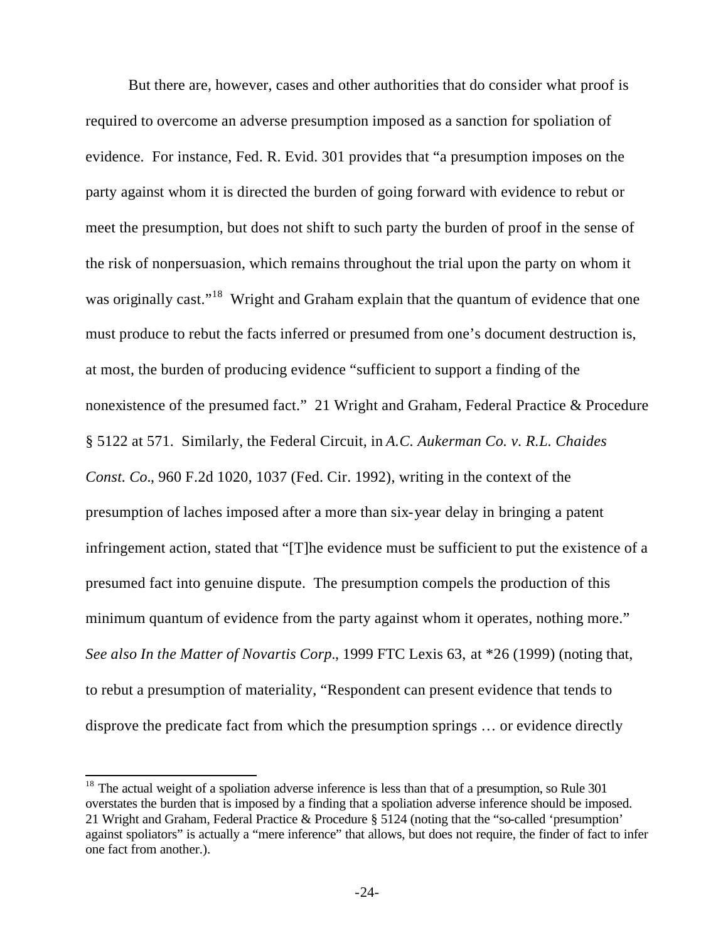But there are, however, cases and other authorities that do consider what proof is required to overcome an adverse presumption imposed as a sanction for spoliation of evidence. For instance, Fed. R. Evid. 301 provides that "a presumption imposes on the party against whom it is directed the burden of going forward with evidence to rebut or meet the presumption, but does not shift to such party the burden of proof in the sense of the risk of nonpersuasion, which remains throughout the trial upon the party on whom it was originally cast."<sup>18</sup> Wright and Graham explain that the quantum of evidence that one must produce to rebut the facts inferred or presumed from one's document destruction is, at most, the burden of producing evidence "sufficient to support a finding of the nonexistence of the presumed fact." 21 Wright and Graham, Federal Practice & Procedure § 5122 at 571. Similarly, the Federal Circuit, in *A.C. Aukerman Co. v. R.L. Chaides Const. Co.*, 960 F.2d 1020, 1037 (Fed. Cir. 1992), writing in the context of the presumption of laches imposed after a more than six-year delay in bringing a patent infringement action, stated that "[T]he evidence must be sufficient to put the existence of a presumed fact into genuine dispute. The presumption compels the production of this minimum quantum of evidence from the party against whom it operates, nothing more." *See also In the Matter of Novartis Corp.*, 1999 FTC Lexis 63, at \*26 (1999) (noting that, to rebut a presumption of materiality, "Respondent can present evidence that tends to disprove the predicate fact from which the presumption springs … or evidence directly

 $\overline{\phantom{a}}$ 

 $18$  The actual weight of a spoliation adverse inference is less than that of a presumption, so Rule 301 overstates the burden that is imposed by a finding that a spoliation adverse inference should be imposed. 21 Wright and Graham, Federal Practice & Procedure § 5124 (noting that the "so-called 'presumption' against spoliators" is actually a "mere inference" that allows, but does not require, the finder of fact to infer one fact from another.).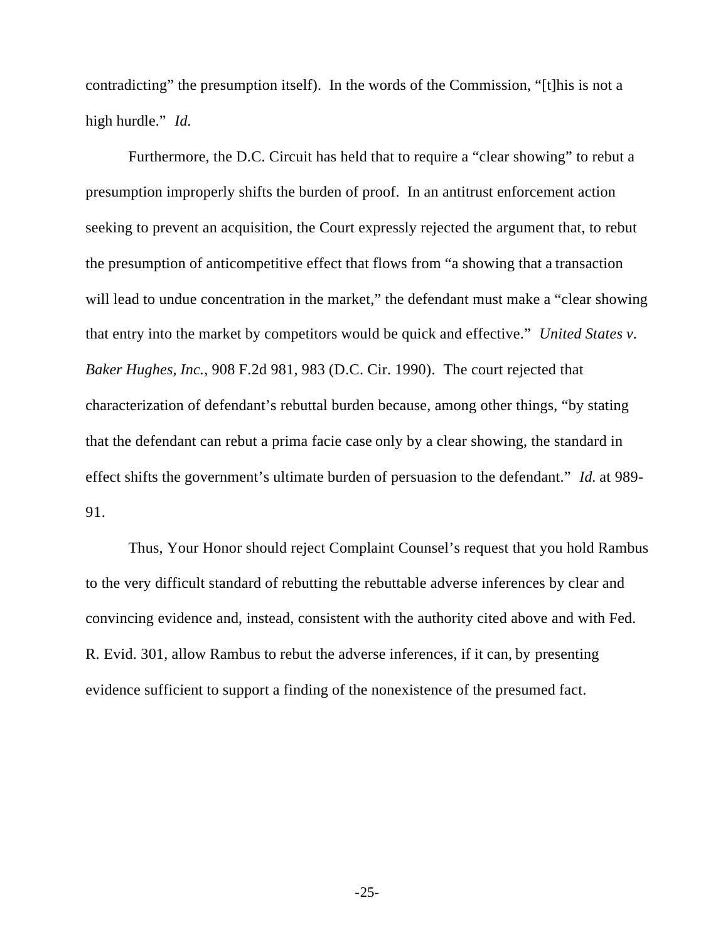contradicting" the presumption itself). In the words of the Commission, "[t]his is not a high hurdle." *Id.*

Furthermore, the D.C. Circuit has held that to require a "clear showing" to rebut a presumption improperly shifts the burden of proof. In an antitrust enforcement action seeking to prevent an acquisition, the Court expressly rejected the argument that, to rebut the presumption of anticompetitive effect that flows from "a showing that a transaction will lead to undue concentration in the market," the defendant must make a "clear showing that entry into the market by competitors would be quick and effective." *United States v. Baker Hughes, Inc.*, 908 F.2d 981, 983 (D.C. Cir. 1990). The court rejected that characterization of defendant's rebuttal burden because, among other things, "by stating that the defendant can rebut a prima facie case only by a clear showing, the standard in effect shifts the government's ultimate burden of persuasion to the defendant." *Id.* at 989- 91.

Thus, Your Honor should reject Complaint Counsel's request that you hold Rambus to the very difficult standard of rebutting the rebuttable adverse inferences by clear and convincing evidence and, instead, consistent with the authority cited above and with Fed. R. Evid. 301, allow Rambus to rebut the adverse inferences, if it can, by presenting evidence sufficient to support a finding of the nonexistence of the presumed fact.

-25-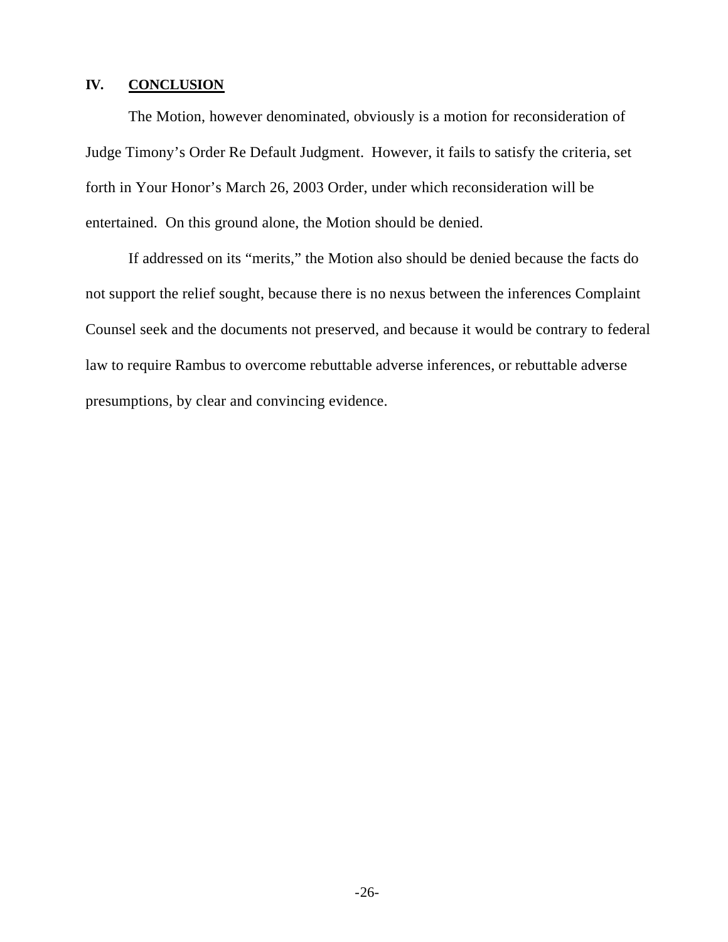### **IV. CONCLUSION**

The Motion, however denominated, obviously is a motion for reconsideration of Judge Timony's Order Re Default Judgment. However, it fails to satisfy the criteria, set forth in Your Honor's March 26, 2003 Order, under which reconsideration will be entertained. On this ground alone, the Motion should be denied.

If addressed on its "merits," the Motion also should be denied because the facts do not support the relief sought, because there is no nexus between the inferences Complaint Counsel seek and the documents not preserved, and because it would be contrary to federal law to require Rambus to overcome rebuttable adverse inferences, or rebuttable adverse presumptions, by clear and convincing evidence.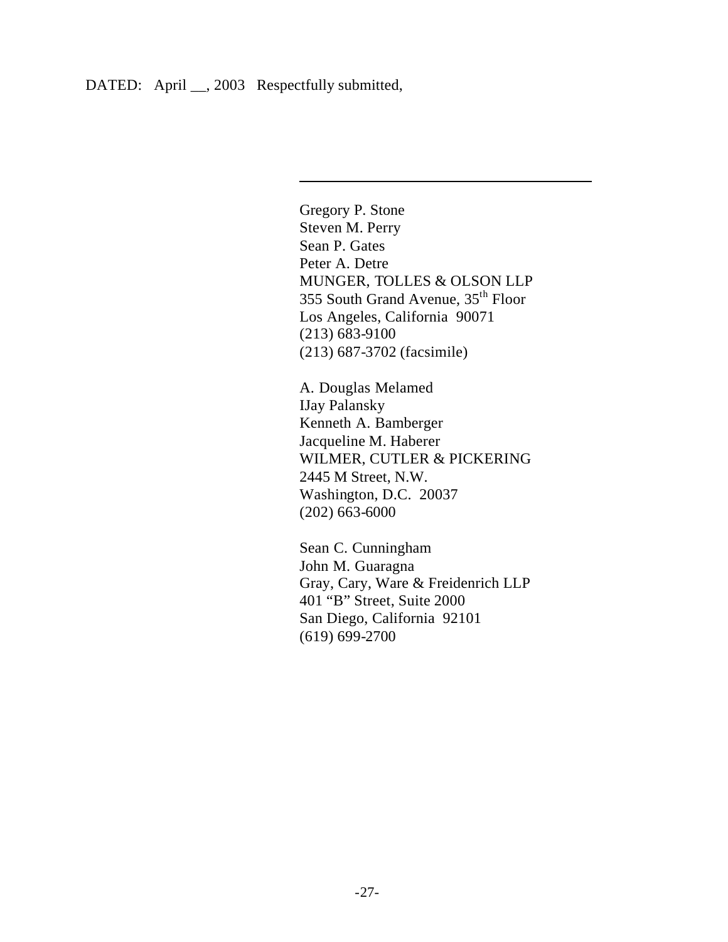$\overline{\phantom{a}}$ 

Gregory P. Stone Steven M. Perry Sean P. Gates Peter A. Detre MUNGER, TOLLES & OLSON LLP 355 South Grand Avenue, 35th Floor Los Angeles, California 90071 (213) 683-9100 (213) 687-3702 (facsimile)

A. Douglas Melamed IJay Palansky Kenneth A. Bamberger Jacqueline M. Haberer WILMER, CUTLER & PICKERING 2445 M Street, N.W. Washington, D.C. 20037 (202) 663-6000

Sean C. Cunningham John M. Guaragna Gray, Cary, Ware & Freidenrich LLP 401 "B" Street, Suite 2000 San Diego, California 92101 (619) 699-2700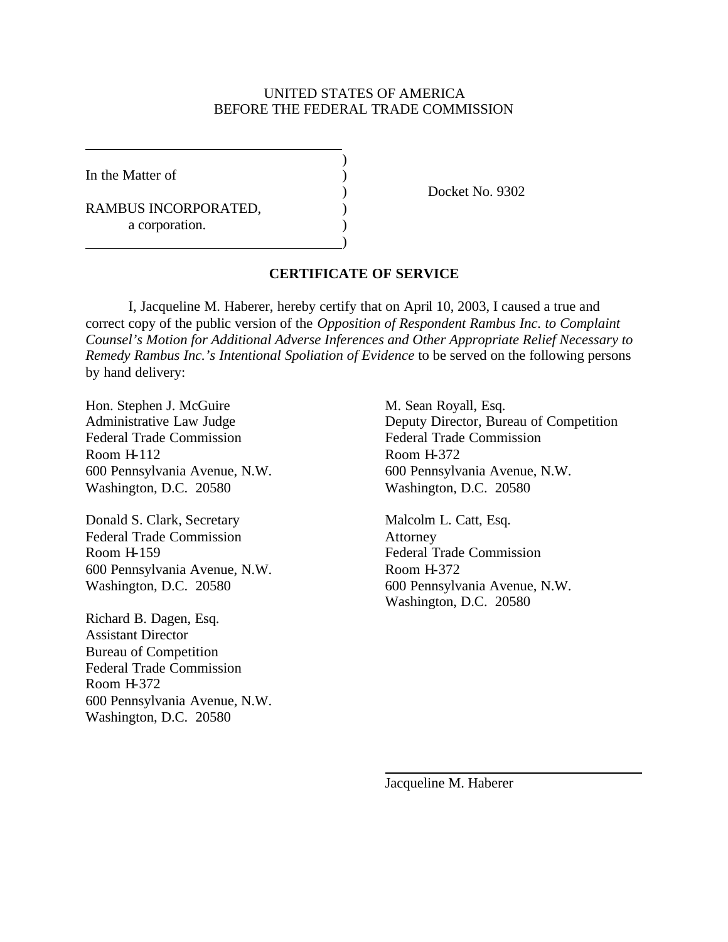#### UNITED STATES OF AMERICA BEFORE THE FEDERAL TRADE COMMISSION

)

)

In the Matter of  $\qquad \qquad$  )

RAMBUS INCORPORATED,  $($ a corporation.

) Docket No. 9302

#### **CERTIFICATE OF SERVICE**

I, Jacqueline M. Haberer, hereby certify that on April 10, 2003, I caused a true and correct copy of the public version of the *Opposition of Respondent Rambus Inc. to Complaint Counsel's Motion for Additional Adverse Inferences and Other Appropriate Relief Necessary to Remedy Rambus Inc.'s Intentional Spoliation of Evidence* to be served on the following persons by hand delivery:

Hon. Stephen J. McGuire M. Sean Royall, Esq. Federal Trade Commission<br>
Federal Trade Commission Room H-112 Room H-372 Washington, D.C. 20580 Washington, D.C. 20580

Donald S. Clark, Secretary Malcolm L. Catt, Esq. Federal Trade Commission Attorney Room H-159 Federal Trade Commission 600 Pennsylvania Avenue, N.W. Room H-372

Richard B. Dagen, Esq. Assistant Director Bureau of Competition Federal Trade Commission Room H-372 600 Pennsylvania Avenue, N.W. Washington, D.C. 20580

Administrative Law Judge Deputy Director, Bureau of Competition 600 Pennsylvania Avenue, N.W. 600 Pennsylvania Avenue, N.W.

Washington, D.C. 20580 600 Pennsylvania Avenue, N.W. Washington, D.C. 20580

Jacqueline M. Haberer